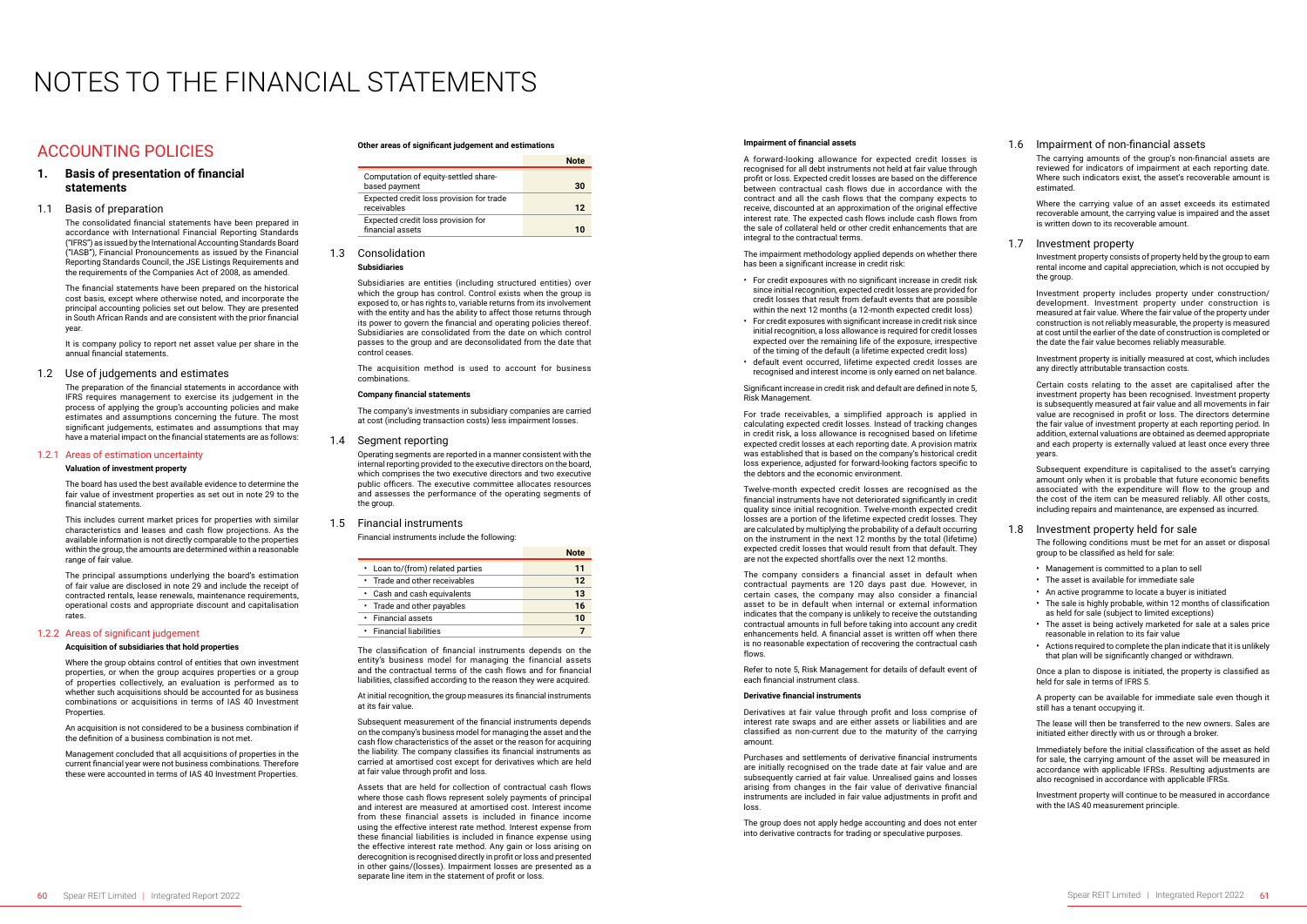## ACCOUNTING POLICIES

### **1. Basis of presentation of financial statements**

### 1.1 Basis of preparation

The consolidated financial statements have been prepared in accordance with International Financial Reporting Standards ("IFRS") as issued by the International Accounting Standards Board ("IASB"), Financial Pronouncements as issued by the Financial Reporting Standards Council, the JSE Listings Requirements and the requirements of the Companies Act of 2008, as amended.

The financial statements have been prepared on the historical cost basis, except where otherwise noted, and incorporate the principal accounting policies set out below. They are presented in South African Rands and are consistent with the prior financial year.

It is company policy to report net asset value per share in the annual financial statements.

### 1.2 Use of judgements and estimates

Where the group obtains control of entities that own investment properties, or when the group acquires properties or a group of properties collectively, an evaluation is performed as to whether such acquisitions should be accounted for as business combinations or acquisitions in terms of IAS 40 Investment **Properties** 

The preparation of the financial statements in accordance with IFRS requires management to exercise its judgement in the process of applying the group's accounting policies and make estimates and assumptions concerning the future. The most significant judgements, estimates and assumptions that may have a material impact on the financial statements are as follows:

#### 1.2.1 Areas of estimation uncertainty

#### **Valuation of investment property**

The board has used the best available evidence to determine the fair value of investment properties as set out in note 29 to the financial statements.

This includes current market prices for properties with similar characteristics and leases and cash flow projections. As the available information is not directly comparable to the properties within the group, the amounts are determined within a reasonable range of fair value.

The principal assumptions underlying the board's estimation of fair value are disclosed in note 29 and include the receipt of contracted rentals, lease renewals, maintenance requirements, operational costs and appropriate discount and capitalisation rates.

#### 1.2.2 Areas of significant judgement

#### **Acquisition of subsidiaries that hold properties**

An acquisition is not considered to be a business combination if the definition of a business combination is not met.

Management concluded that all acquisitions of properties in the current financial year were not business combinations. Therefore these were accounted in terms of IAS 40 Investment Properties.

# NOTES TO THE FINANCIAL STATEMENTS

#### **Other areas of significant judgement and estimations**

|                                                         | Note |
|---------------------------------------------------------|------|
| Computation of equity-settled share-<br>based payment   | 30   |
| Expected credit loss provision for trade<br>receivables | 12   |
| Expected credit loss provision for<br>financial assets  | חר   |

## 1.3 Consolidation

### **Subsidiaries**

Subsidiaries are entities (including structured entities) over which the group has control. Control exists when the group is exposed to, or has rights to, variable returns from its involvement with the entity and has the ability to affect those returns through its power to govern the financial and operating policies thereof. Subsidiaries are consolidated from the date on which control passes to the group and are deconsolidated from the date that control ceases.

The acquisition method is used to account for business combinations.

### **Company financial statements**

The company's investments in subsidiary companies are carried at cost (including transaction costs) less impairment losses.

### 1.4 Segment reporting

Operating segments are reported in a manner consistent with the internal reporting provided to the executive directors on the board, which comprises the two executive directors and two executive public officers. The executive committee allocates resources and assesses the performance of the operating segments of the group.

### 1.5 Financial instruments

Financial instruments include the following:

|                                  | <b>Note</b> |
|----------------------------------|-------------|
| • Loan to/(from) related parties | 11          |
| • Trade and other receivables    | 12          |
| • Cash and cash equivalents      | 13          |
| • Trade and other payables       | 16          |
| • Financial assets               | 10          |
| • Financial liabilities          |             |

The classification of financial instruments depends on the entity's business model for managing the financial assets and the contractual terms of the cash flows and for financial liabilities, classified according to the reason they were acquired.

> The group does not apply hedge accounting and does not enter into derivative contracts for trading or speculative purposes.

At initial recognition, the group measures its financial instruments at its fair value.

Subsequent measurement of the financial instruments depends on the company's business model for managing the asset and the cash flow characteristics of the asset or the reason for acquiring the liability. The company classifies its financial instruments as carried at amortised cost except for derivatives which are held at fair value through profit and loss.

Assets that are held for collection of contractual cash flows where those cash flows represent solely payments of principal and interest are measured at amortised cost. Interest income from these financial assets is included in finance income using the effective interest rate method. Interest expense from these financial liabilities is included in finance expense using the effective interest rate method. Any gain or loss arising on derecognition is recognised directly in profit or loss and presented in other gains/(losses). Impairment losses are presented as a separate line item in the statement of profit or loss.

#### **Impairment of financial assets**

A forward-looking allowance for expected credit losses is recognised for all debt instruments not held at fair value through profit or loss. Expected credit losses are based on the difference between contractual cash flows due in accordance with the contract and all the cash flows that the company expects to receive, discounted at an approximation of the original effective interest rate. The expected cash flows include cash flows from the sale of collateral held or other credit enhancements that are integral to the contractual terms.

The impairment methodology applied depends on whether there has been a significant increase in credit risk:

- For credit exposures with no significant increase in credit risk since initial recognition, expected credit losses are provided for credit losses that result from default events that are possible within the next 12 months (a 12-month expected credit loss)
- For credit exposures with significant increase in credit risk since initial recognition, a loss allowance is required for credit losses expected over the remaining life of the exposure, irrespective of the timing of the default (a lifetime expected credit loss)
- default event occurred, lifetime expected credit losses are recognised and interest income is only earned on net balance.

Significant increase in credit risk and default are defined in note 5, Risk Management.

For trade receivables, a simplified approach is applied in calculating expected credit losses. Instead of tracking changes in credit risk, a loss allowance is recognised based on lifetime expected credit losses at each reporting date. A provision matrix was established that is based on the company's historical credit loss experience, adjusted for forward-looking factors specific to the debtors and the economic environment.

Twelve-month expected credit losses are recognised as the financial instruments have not deteriorated significantly in credit quality since initial recognition. Twelve-month expected credit losses are a portion of the lifetime expected credit losses. They are calculated by multiplying the probability of a default occurring on the instrument in the next 12 months by the total (lifetime) expected credit losses that would result from that default. They are not the expected shortfalls over the next 12 months.

The company considers a financial asset in default when contractual payments are 120 days past due. However, in certain cases, the company may also consider a financial asset to be in default when internal or external information indicates that the company is unlikely to receive the outstanding contractual amounts in full before taking into account any credit enhancements held. A financial asset is written off when there is no reasonable expectation of recovering the contractual cash flows.

Refer to note 5, Risk Management for details of default event of each financial instrument class.

#### **Derivative financial instruments**

Derivatives at fair value through profit and loss comprise of interest rate swaps and are either assets or liabilities and are classified as non-current due to the maturity of the carrying amount.

Purchases and settlements of derivative financial instruments are initially recognised on the trade date at fair value and are subsequently carried at fair value. Unrealised gains and losses arising from changes in the fair value of derivative financial instruments are included in fair value adjustments in profit and loss.

### 1.6 Impairment of non-financial assets

The carrying amounts of the group's non-financial assets are reviewed for indicators of impairment at each reporting date. Where such indicators exist, the asset's recoverable amount is estimated.

Where the carrying value of an asset exceeds its estimated recoverable amount, the carrying value is impaired and the asset is written down to its recoverable amount.

### 1.7 Investment property

Investment property consists of property held by the group to earn rental income and capital appreciation, which is not occupied by the group.

Investment property includes property under construction/ development. Investment property under construction is measured at fair value. Where the fair value of the property under construction is not reliably measurable, the property is measured at cost until the earlier of the date of construction is completed or the date the fair value becomes reliably measurable.

Investment property is initially measured at cost, which includes any directly attributable transaction costs.

Certain costs relating to the asset are capitalised after the investment property has been recognised. Investment property is subsequently measured at fair value and all movements in fair value are recognised in profit or loss. The directors determine the fair value of investment property at each reporting period. In addition, external valuations are obtained as deemed appropriate and each property is externally valued at least once every three years.

Subsequent expenditure is capitalised to the asset's carrying amount only when it is probable that future economic benefits associated with the expenditure will flow to the group and the cost of the item can be measured reliably. All other costs, including repairs and maintenance, are expensed as incurred.

### 1.8 Investment property held for sale

The following conditions must be met for an asset or disposal group to be classified as held for sale:

- Management is committed to a plan to sell
- The asset is available for immediate sale
- An active programme to locate a buyer is initiated
- The sale is highly probable, within 12 months of classification as held for sale (subject to limited exceptions)
- The asset is being actively marketed for sale at a sales price reasonable in relation to its fair value
- Actions required to complete the plan indicate that it is unlikely that plan will be significantly changed or withdrawn.

Once a plan to dispose is initiated, the property is classified as held for sale in terms of IFRS 5.

A property can be available for immediate sale even though it still has a tenant occupying it.

The lease will then be transferred to the new owners. Sales are initiated either directly with us or through a broker.

Immediately before the initial classification of the asset as held for sale, the carrying amount of the asset will be measured in accordance with applicable IFRSs. Resulting adjustments are also recognised in accordance with applicable IFRSs.

Investment property will continue to be measured in accordance with the IAS 40 measurement principle.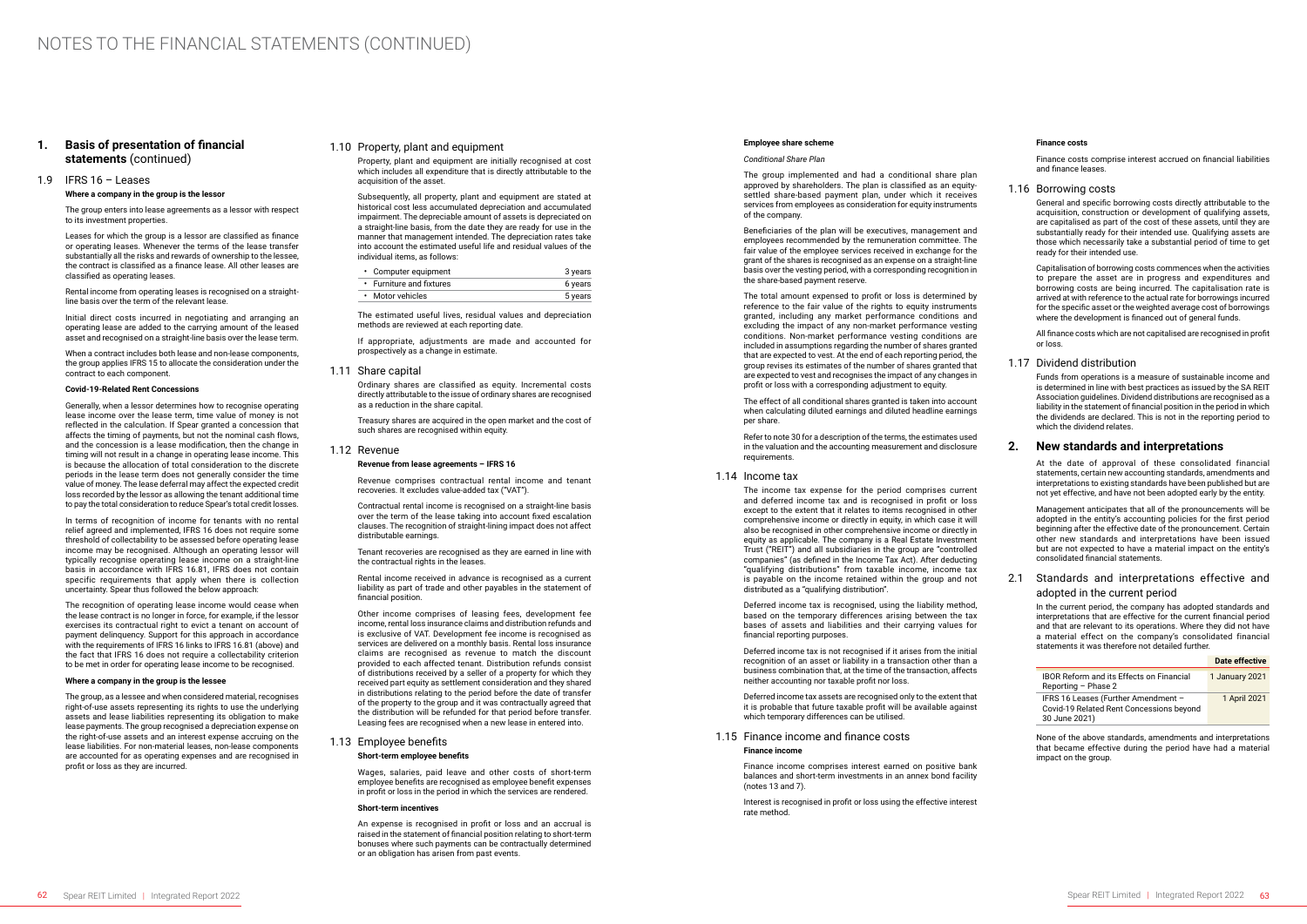### **1. Basis of presentation of financial statements** (continued)

### 1.9 IFRS 16 – Leases

#### **Where a company in the group is the lessor**

The group enters into lease agreements as a lessor with respect to its investment properties.

Leases for which the group is a lessor are classified as finance or operating leases. Whenever the terms of the lease transfer substantially all the risks and rewards of ownership to the lessee, the contract is classified as a finance lease. All other leases are classified as operating leases.

Rental income from operating leases is recognised on a straightline basis over the term of the relevant lease.

Initial direct costs incurred in negotiating and arranging an operating lease are added to the carrying amount of the leased asset and recognised on a straight-line basis over the lease term.

When a contract includes both lease and non-lease components, the group applies IFRS 15 to allocate the consideration under the contract to each component.

### **Covid-19-Related Rent Concessions**

Generally, when a lessor determines how to recognise operating lease income over the lease term, time value of money is not reflected in the calculation. If Spear granted a concession that affects the timing of payments, but not the nominal cash flows, and the concession is a lease modification, then the change in timing will not result in a change in operating lease income. This is because the allocation of total consideration to the discrete periods in the lease term does not generally consider the time value of money. The lease deferral may affect the expected credit loss recorded by the lessor as allowing the tenant additional time to pay the total consideration to reduce Spear's total credit losses.

The group, as a lessee and when considered material, recognises right-of-use assets representing its rights to use the underlying assets and lease liabilities representing its obligation to make lease payments. The group recognised a depreciation expense on the right-of-use assets and an interest expense accruing on the lease liabilities. For non-material leases, non-lease components are accounted for as operating expenses and are recognised in profit or loss as they are incurred.

In terms of recognition of income for tenants with no rental relief agreed and implemented, IFRS 16 does not require some threshold of collectability to be assessed before operating lease income may be recognised. Although an operating lessor will typically recognise operating lease income on a straight-line basis in accordance with IFRS 16.81, IFRS does not contain specific requirements that apply when there is collection uncertainty. Spear thus followed the below approach:

Contractual rental income is recognised on a straight-line basis over the term of the lease taking into account fixed escalation clauses. The recognition of straight-lining impact does not affect distributable earnings.

The recognition of operating lease income would cease when the lease contract is no longer in force, for example, if the lessor exercises its contractual right to evict a tenant on account of payment delinquency. Support for this approach in accordance with the requirements of IFRS 16 links to IFRS 16.81 (above) and the fact that IFRS 16 does not require a collectability criterion to be met in order for operating lease income to be recognised.

#### **Where a company in the group is the lessee**

### 1.10 Property, plant and equipment

Property, plant and equipment are initially recognised at cost which includes all expenditure that is directly attributable to the acquisition of the asset.

Subsequently, all property, plant and equipment are stated at historical cost less accumulated depreciation and accumulated impairment. The depreciable amount of assets is depreciated on a straight-line basis, from the date they are ready for use in the manner that management intended. The depreciation rates take into account the estimated useful life and residual values of the individual items, as follows:

| • Computer equipment     | 3 years |
|--------------------------|---------|
| • Furniture and fixtures | 6 years |
| • Motor vehicles         | 5 years |

The estimated useful lives, residual values and depreciation methods are reviewed at each reporting date.

If appropriate, adjustments are made and accounted for prospectively as a change in estimate.

#### 1.11 Share capital

Ordinary shares are classified as equity. Incremental costs directly attributable to the issue of ordinary shares are recognised as a reduction in the share capital.

Treasury shares are acquired in the open market and the cost of such shares are recognised within equity.

### 1.12 Revenue

#### **Revenue from lease agreements – IFRS 16**

Revenue comprises contractual rental income and tenant recoveries. It excludes value-added tax ("VAT").

Tenant recoveries are recognised as they are earned in line with the contractual rights in the leases.

Capitalisation of borrowing costs commences when the activities to prepare the asset are in progress and expenditures and borrowing costs are being incurred. The capitalisation rate is arrived at with reference to the actual rate for borrowings incurred for the specific asset or the weighted average cost of borrowings where the development is financed out of general funds.

Rental income received in advance is recognised as a current liability as part of trade and other payables in the statement of financial position.

Other income comprises of leasing fees, development fee income, rental loss insurance claims and distribution refunds and is exclusive of VAT. Development fee income is recognised as services are delivered on a monthly basis. Rental loss insurance claims are recognised as revenue to match the discount provided to each affected tenant. Distribution refunds consist of distributions received by a seller of a property for which they received part equity as settlement consideration and they shared in distributions relating to the period before the date of transfer of the property to the group and it was contractually agreed that the distribution will be refunded for that period before transfer. Leasing fees are recognised when a new lease in entered into.

### 1.13 Employee benefits

### **Short-term employee benefits**

Wages, salaries, paid leave and other costs of short-term employee benefits are recognised as employee benefit expenses in profit or loss in the period in which the services are rendered.

#### **Short-term incentives**

An expense is recognised in profit or loss and an accrual is raised in the statement of financial position relating to short-term bonuses where such payments can be contractually determined or an obligation has arisen from past events.

#### **Employee share scheme**

#### *Conditional Share Plan*

The group implemented and had a conditional share plan approved by shareholders. The plan is classified as an equitysettled share-based payment plan, under which it receives services from employees as consideration for equity instruments of the company.

Beneficiaries of the plan will be executives, management and employees recommended by the remuneration committee. The fair value of the employee services received in exchange for the grant of the shares is recognised as an expense on a straight-line basis over the vesting period, with a corresponding recognition in the share-based payment reserve.

The total amount expensed to profit or loss is determined by reference to the fair value of the rights to equity instruments granted, including any market performance conditions and excluding the impact of any non-market performance vesting conditions. Non-market performance vesting conditions are included in assumptions regarding the number of shares granted that are expected to vest. At the end of each reporting period, the group revises its estimates of the number of shares granted that are expected to vest and recognises the impact of any changes in profit or loss with a corresponding adjustment to equity.

The effect of all conditional shares granted is taken into account when calculating diluted earnings and diluted headline earnings per share.

Refer to note 30 for a description of the terms, the estimates used in the valuation and the accounting measurement and disclosure requirements.

#### 1.14 Income tax

The income tax expense for the period comprises current and deferred income tax and is recognised in profit or loss except to the extent that it relates to items recognised in other comprehensive income or directly in equity, in which case it will also be recognised in other comprehensive income or directly in equity as applicable. The company is a Real Estate Investment Trust ("REIT") and all subsidiaries in the group are "controlled companies" (as defined in the Income Tax Act). After deducting "qualifying distributions" from taxable income, income tax is payable on the income retained within the group and not distributed as a "qualifying distribution".

Deferred income tax is recognised, using the liability method, based on the temporary differences arising between the tax bases of assets and liabilities and their carrying values for financial reporting purposes.

Deferred income tax is not recognised if it arises from the initial recognition of an asset or liability in a transaction other than a business combination that, at the time of the transaction, affects neither accounting nor taxable profit nor loss.

Deferred income tax assets are recognised only to the extent that it is probable that future taxable profit will be available against which temporary differences can be utilised.

### 1.15 Finance income and finance costs

### **Finance income**

Finance income comprises interest earned on positive bank balances and short-term investments in an annex bond facility (notes 13 and 7).

Interest is recognised in profit or loss using the effective interest rate method.

#### **Finance costs**

Finance costs comprise interest accrued on financial liabilities and finance leases.

### 1.16 Borrowing costs

General and specific borrowing costs directly attributable to the acquisition, construction or development of qualifying assets, are capitalised as part of the cost of these assets, until they are substantially ready for their intended use. Qualifying assets are those which necessarily take a substantial period of time to get ready for their intended use.

All finance costs which are not capitalised are recognised in profit or loss.

### 1.17 Dividend distribution

Funds from operations is a measure of sustainable income and is determined in line with best practices as issued by the SA REIT Association guidelines. Dividend distributions are recognised as a liability in the statement of financial position in the period in which the dividends are declared. This is not in the reporting period to which the dividend relates.

### **2. New standards and interpretations**

At the date of approval of these consolidated financial statements, certain new accounting standards, amendments and interpretations to existing standards have been published but are not yet effective, and have not been adopted early by the entity.

Management anticipates that all of the pronouncements will be adopted in the entity's accounting policies for the first period beginning after the effective date of the pronouncement. Certain other new standards and interpretations have been issued but are not expected to have a material impact on the entity's consolidated financial statements.

### 2.1 Standards and interpretations effective and adopted in the current period

In the current period, the company has adopted standards and interpretations that are effective for the current financial period and that are relevant to its operations. Where they did not have a material effect on the company's consolidated financial statements it was therefore not detailed further.

|                                                                                                  | Date effective |
|--------------------------------------------------------------------------------------------------|----------------|
| <b>IBOR Reform and its Effects on Financial</b><br>Reporting - Phase 2                           | 1 January 2021 |
| IFRS 16 Leases (Further Amendment -<br>Covid-19 Related Rent Concessions beyond<br>30 June 2021) | 1 April 2021   |

None of the above standards, amendments and interpretations that became effective during the period have had a material impact on the group.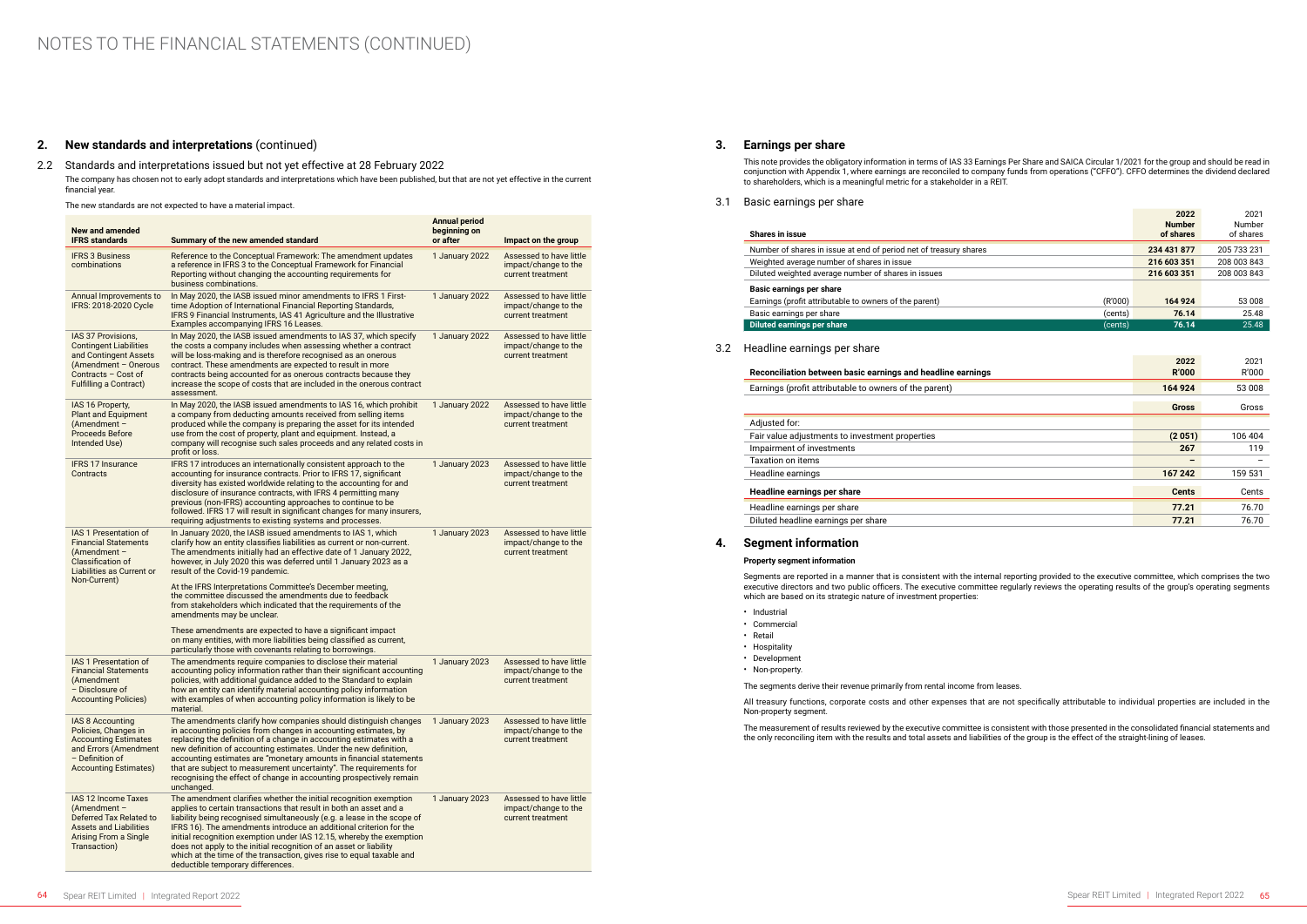### **2. New standards and interpretations** (continued)

### 2.2 Standards and interpretations issued but not yet effective at 28 February 2022

The company has chosen not to early adopt standards and interpretations which have been published, but that are not yet effective in the current financial year.

The new standards are not expected to have a material impact.

### **Shares in issue** Number of shares in issue at end of period net of treasury shares Weighted average number of shares in issue **Diluted weighted average number of shares in issues Basic earnings per share** Earnings (profit attributable to owners of the parent) Basic earnings per share

**Diluted earnings per share** 

| <b>New and amended</b><br><b>IFRS standards</b>                                                                                                              | Summary of the new amended standard                                                                                                                                                                                                                                                                                                                                                                                                                                                                                                                  | <b>Annual period</b><br>beginning on<br>or after | Impact on the group                                                  |
|--------------------------------------------------------------------------------------------------------------------------------------------------------------|------------------------------------------------------------------------------------------------------------------------------------------------------------------------------------------------------------------------------------------------------------------------------------------------------------------------------------------------------------------------------------------------------------------------------------------------------------------------------------------------------------------------------------------------------|--------------------------------------------------|----------------------------------------------------------------------|
| <b>IFRS 3 Business</b><br>combinations                                                                                                                       | Reference to the Conceptual Framework: The amendment updates<br>a reference in IFRS 3 to the Conceptual Framework for Financial<br>Reporting without changing the accounting requirements for<br>business combinations.                                                                                                                                                                                                                                                                                                                              | 1 January 2022                                   | Assessed to have little<br>impact/change to the<br>current treatment |
| Annual Improvements to<br>IFRS: 2018-2020 Cycle                                                                                                              | In May 2020, the IASB issued minor amendments to IFRS 1 First-<br>time Adoption of International Financial Reporting Standards,<br>IFRS 9 Financial Instruments, IAS 41 Agriculture and the Illustrative<br>Examples accompanying IFRS 16 Leases.                                                                                                                                                                                                                                                                                                    | 1 January 2022                                   | Assessed to have little<br>impact/change to the<br>current treatment |
| IAS 37 Provisions,<br><b>Contingent Liabilities</b><br>and Contingent Assets<br>(Amendment - Onerous<br>Contracts - Cost of<br><b>Fulfilling a Contract)</b> | In May 2020, the IASB issued amendments to IAS 37, which specify<br>the costs a company includes when assessing whether a contract<br>will be loss-making and is therefore recognised as an onerous<br>contract. These amendments are expected to result in more<br>contracts being accounted for as onerous contracts because they<br>increase the scope of costs that are included in the onerous contract<br>assessment.                                                                                                                          | 1 January 2022                                   | Assessed to have little<br>impact/change to the<br>current treatment |
| IAS 16 Property,<br><b>Plant and Equipment</b><br>$(Amendment -$<br><b>Proceeds Before</b><br>Intended Use)                                                  | In May 2020, the IASB issued amendments to IAS 16, which prohibit<br>a company from deducting amounts received from selling items<br>produced while the company is preparing the asset for its intended<br>use from the cost of property, plant and equipment. Instead, a<br>company will recognise such sales proceeds and any related costs in<br>profit or loss.                                                                                                                                                                                  | 1 January 2022                                   | Assessed to have little<br>impact/change to the<br>current treatment |
| <b>IFRS 17 Insurance</b><br>Contracts                                                                                                                        | IFRS 17 introduces an internationally consistent approach to the<br>accounting for insurance contracts. Prior to IFRS 17, significant<br>diversity has existed worldwide relating to the accounting for and<br>disclosure of insurance contracts, with IFRS 4 permitting many<br>previous (non-IFRS) accounting approaches to continue to be<br>followed. IFRS 17 will result in significant changes for many insurers,<br>requiring adjustments to existing systems and processes.                                                                  | 1 January 2023                                   | Assessed to have little<br>impact/change to the<br>current treatment |
| <b>IAS 1 Presentation of</b><br><b>Financial Statements</b><br>$(Amendment -$<br><b>Classification of</b><br>Liabilities as Current or<br>Non-Current)       | In January 2020, the IASB issued amendments to IAS 1, which<br>clarify how an entity classifies liabilities as current or non-current.<br>The amendments initially had an effective date of 1 January 2022,<br>however, in July 2020 this was deferred until 1 January 2023 as a<br>result of the Covid-19 pandemic.                                                                                                                                                                                                                                 | 1 January 2023                                   | Assessed to have little<br>impact/change to the<br>current treatment |
|                                                                                                                                                              | At the IFRS Interpretations Committee's December meeting,<br>the committee discussed the amendments due to feedback<br>from stakeholders which indicated that the requirements of the<br>amendments may be unclear.                                                                                                                                                                                                                                                                                                                                  |                                                  |                                                                      |
|                                                                                                                                                              | These amendments are expected to have a significant impact<br>on many entities, with more liabilities being classified as current,<br>particularly those with covenants relating to borrowings.                                                                                                                                                                                                                                                                                                                                                      |                                                  |                                                                      |
| <b>IAS 1 Presentation of</b><br><b>Financial Statements</b><br>(Amendment<br>- Disclosure of<br><b>Accounting Policies</b> )                                 | The amendments require companies to disclose their material<br>accounting policy information rather than their significant accounting<br>policies, with additional guidance added to the Standard to explain<br>how an entity can identify material accounting policy information<br>with examples of when accounting policy information is likely to be<br>material.                                                                                                                                                                                | 1 January 2023                                   | Assessed to have little<br>impact/change to the<br>current treatment |
| <b>IAS 8 Accounting</b><br>Policies, Changes in<br><b>Accounting Estimates</b><br>and Errors (Amendment<br>$-$ Definition of<br><b>Accounting Estimates)</b> | The amendments clarify how companies should distinguish changes<br>in accounting policies from changes in accounting estimates, by<br>replacing the definition of a change in accounting estimates with a<br>new definition of accounting estimates. Under the new definition,<br>accounting estimates are "monetary amounts in financial statements<br>that are subject to measurement uncertainty". The requirements for<br>recognising the effect of change in accounting prospectively remain<br>unchanged.                                      | 1 January 2023                                   | Assessed to have little<br>impact/change to the<br>current treatment |
| IAS 12 Income Taxes<br>(Amendment -<br>Deferred Tax Related to<br><b>Assets and Liabilities</b><br>Arising From a Single<br>Transaction)                     | The amendment clarifies whether the initial recognition exemption<br>applies to certain transactions that result in both an asset and a<br>liability being recognised simultaneously (e.g. a lease in the scope of<br>IFRS 16). The amendments introduce an additional criterion for the<br>initial recognition exemption under IAS 12.15, whereby the exemption<br>does not apply to the initial recognition of an asset or liability<br>which at the time of the transaction, gives rise to equal taxable and<br>deductible temporary differences. | 1 January 2023                                   | Assessed to have little<br>impact/change to the<br>current treatment |

### **3. Earnings per share**

This note provides the obligatory information in terms of IAS 33 Earnings Per Share and SAICA Circular 1/2021 for the group and should be read in conjunction with Appendix 1, where earnings are reconciled to company funds from operations ("CFFO"). CFFO determines the dividend declared to shareholders, which is a meaningful metric for a stakeholder in a REIT.

3.1 Basic earnings per share

|         | 2022<br><b>Number</b><br>of shares | 2021<br>Number<br>of shares |
|---------|------------------------------------|-----------------------------|
|         | 234 431 877                        | 205 733 231                 |
|         | 216 603 351                        | 208 003 843                 |
|         | 216 603 351                        | 208 003 843                 |
|         |                                    |                             |
| (R'000) | 164 924                            | 53 008                      |
| (cents) | 76.14                              | 25.48                       |
| (cents) | 76.14                              | 25.48                       |

### 3.2 Headline earnings per share

|                                                             | 2022         | 2021    |
|-------------------------------------------------------------|--------------|---------|
| Reconciliation between basic earnings and headline earnings | <b>R'000</b> | R'000   |
| Earnings (profit attributable to owners of the parent)      | 164 924      | 53 008  |
|                                                             | <b>Gross</b> | Gross   |
| Adjusted for:                                               |              |         |
| Fair value adjustments to investment properties             | (2051)       | 106 404 |
| Impairment of investments                                   | 267          | 119     |
| <b>Taxation on items</b>                                    |              |         |
| Headline earnings                                           | 167 242      | 159 531 |
| Headline earnings per share                                 | <b>Cents</b> | Cents   |
| Headline earnings per share                                 | 77.21        | 76.70   |
| Diluted headline earnings per share                         | 77.21        | 76.70   |

## **4. Segment information**

#### **Property segment information**

Segments are reported in a manner that is consistent with the internal reporting provided to the executive committee, which comprises the two executive directors and two public officers. The executive committee regularly reviews the operating results of the group's operating segments which are based on its strategic nature of investment properties:

- Industrial
- Commercial
- Retail
- Hospitality
- Development
- Non-property.

The segments derive their revenue primarily from rental income from leases.

All treasury functions, corporate costs and other expenses that are not specifically attributable to individual properties are included in the Non-property segment.

The measurement of results reviewed by the executive committee is consistent with those presented in the consolidated financial statements and the only reconciling item with the results and total assets and liabilities of the group is the effect of the straight-lining of leases.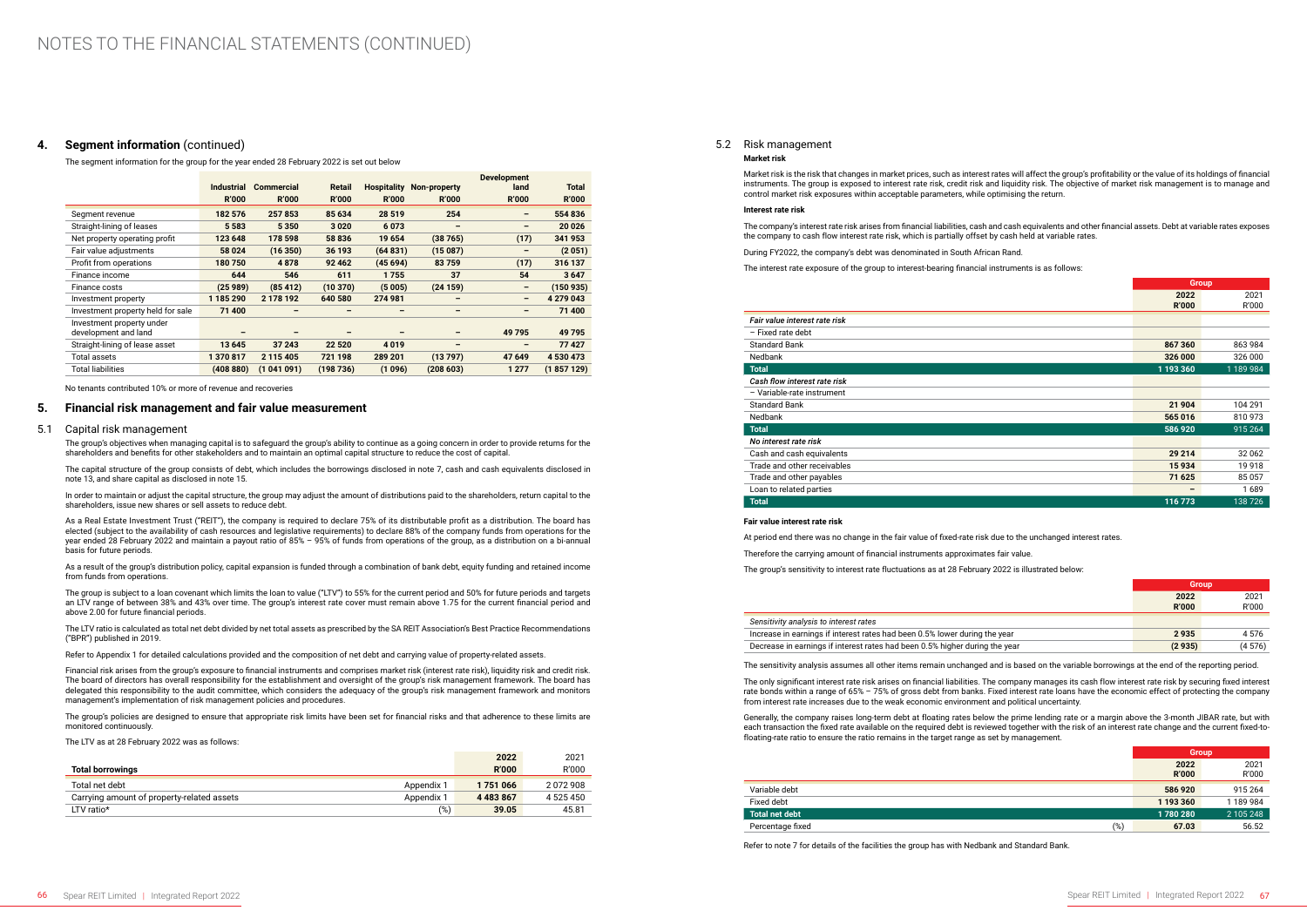### **4. Segment information** (continued)

The segment information for the group for the year ended 28 February 2022 is set out below

|                                   |                   |                   |                          |              |                          | <b>Development</b>           |              |
|-----------------------------------|-------------------|-------------------|--------------------------|--------------|--------------------------|------------------------------|--------------|
|                                   | <b>Industrial</b> | <b>Commercial</b> | <b>Retail</b>            | Hospitality  | Non-property             | land                         | <b>Total</b> |
|                                   | <b>R'000</b>      | <b>R'000</b>      | <b>R'000</b>             | <b>R'000</b> | <b>R'000</b>             | <b>R'000</b>                 | <b>R'000</b> |
| Segment revenue                   | 182 576           | 257853            | 85 634                   | 28 5 19      | 254                      | -                            | 554 836      |
| Straight-lining of leases         | 5 5 8 3           | 5350              | 3020                     | 6073         | -                        | $\qquad \qquad \blacksquare$ | 20 0 26      |
| Net property operating profit     | 123 648           | 178 598           | 58 836                   | 19 654       | (38765)                  | (17)                         | 341 953      |
| Fair value adjustments            | 58 0 24           | (16350)           | 36 193                   | (64831)      | (15087)                  | $\overline{\phantom{m}}$     | (2051)       |
| Profit from operations            | 180750            | 4878              | 92 4 62                  | (45694)      | 83759                    | (17)                         | 316 137      |
| Finance income                    | 644               | 546               | 611                      | 1755         | 37                       | 54                           | 3647         |
| Finance costs                     | (25989)           | (85412)           | (10370)                  | (5005)       | (24159)                  | -                            | (150935)     |
| Investment property               | 1 185 290         | 2 178 192         | 640 580                  | 274 981      | $\overline{\phantom{0}}$ | -                            | 4 279 043    |
| Investment property held for sale | 71 400            | $\qquad \qquad$   | $\overline{\phantom{0}}$ | -            | $\qquad \qquad$          | $\qquad \qquad$              | 71 400       |
| Investment property under         |                   |                   |                          |              |                          |                              |              |
| development and land              |                   |                   |                          |              | $\qquad \qquad$          | 49795                        | 49 795       |
| Straight-lining of lease asset    | 13 645            | 37 243            | 22 5 20                  | 4019         | -                        |                              | 77427        |
| <b>Total assets</b>               | 1370817           | 2 115 405         | 721 198                  | 289 201      | (13797)                  | 47 649                       | 4 530 473    |
| <b>Total liabilities</b>          | (408 880)         | (1041091)         | (198736)                 | (1096)       | (208603)                 | 1 2 7 7                      | (1857129)    |

No tenants contributed 10% or more of revenue and recoveries

### **5. Financial risk management and fair value measurement**

#### 5.1 Capital risk management

The group's objectives when managing capital is to safeguard the group's ability to continue as a going concern in order to provide returns for the shareholders and benefits for other stakeholders and to maintain an optimal capital structure to reduce the cost of capital.

The capital structure of the group consists of debt, which includes the borrowings disclosed in note 7, cash and cash equivalents disclosed in note 13, and share capital as disclosed in note 15.

In order to maintain or adjust the capital structure, the group may adjust the amount of distributions paid to the shareholders, return capital to the shareholders, issue new shares or sell assets to reduce debt.

As a Real Estate Investment Trust ("REIT"), the company is required to declare 75% of its distributable profit as a distribution. The board has elected (subject to the availability of cash resources and legislative requirements) to declare 88% of the company funds from operations for the year ended 28 February 2022 and maintain a payout ratio of 85% – 95% of funds from operations of the group, as a distribution on a bi-annual basis for future periods.

As a result of the group's distribution policy, capital expansion is funded through a combination of bank debt, equity funding and retained income from funds from operations.

The group is subject to a loan covenant which limits the loan to value ("LTV") to 55% for the current period and 50% for future periods and targets an LTV range of between 38% and 43% over time. The group's interest rate cover must remain above 1.75 for the current financial period and above 2.00 for future financial periods.

The LTV ratio is calculated as total net debt divided by net total assets as prescribed by the SA REIT Association's Best Practice Recommendations ("BPR") published in 2019.

Refer to Appendix 1 for detailed calculations provided and the composition of net debt and carrying value of property-related assets.

Financial risk arises from the group's exposure to financial instruments and comprises market risk (interest rate risk), liquidity risk and credit risk. The board of directors has overall responsibility for the establishment and oversight of the group's risk management framework. The board has delegated this responsibility to the audit committee, which considers the adequacy of the group's risk management framework and monitors management's implementation of risk management policies and procedures.

The group's policies are designed to ensure that appropriate risk limits have been set for financial risks and that adherence to these limits are monitored continuously.

The LTV as at 28 February 2022 was as follows:

| <b>Total borrowings</b>                                  | 2022<br><b>R'000</b> | 2021<br>R'000 |
|----------------------------------------------------------|----------------------|---------------|
| Total net debt<br>Appendix 1                             | 1751066              | 2072908       |
| Carrying amount of property-related assets<br>Appendix 1 | 4 4 8 3 8 6 7        | 4 525 450     |
| LTV ratio*                                               | (%)<br>39.05         | 45.81         |

#### 5.2 Risk management

#### **Market risk**

Market risk is the risk that changes in market prices, such as interest rates will affect the group's profitability or the value of its holdings of financial instruments. The group is exposed to interest rate risk, credit risk and liquidity risk. The objective of market risk management is to manage and control market risk exposures within acceptable parameters, while optimising the return.

#### **Interest rate risk**

The company's interest rate risk arises from financial liabilities, cash and cash equivalents and other financial assets. Debt at variable rates exposes the company to cash flow interest rate risk, which is partially offset by cash held at variable rates.

During FY2022, the company's debt was denominated in South African Rand.

The interest rate exposure of the group to interest-bearing financial instruments is as follows:

|                               |                      | <b>Group</b>  |  |
|-------------------------------|----------------------|---------------|--|
|                               | 2022<br><b>R'000</b> | 2021<br>R'000 |  |
| Fair value interest rate risk |                      |               |  |
| - Fixed rate debt             |                      |               |  |
| <b>Standard Bank</b>          | 867 360              | 863 984       |  |
| Nedbank                       | 326 000              | 326 000       |  |
| <b>Total</b>                  | 1 193 360            | 1 189 984     |  |
| Cash flow interest rate risk  |                      |               |  |
| - Variable-rate instrument    |                      |               |  |
| <b>Standard Bank</b>          | 21 904               | 104 291       |  |
| Nedbank                       | 565 016              | 810973        |  |
| <b>Total</b>                  | 586 920              | 915 264       |  |
| No interest rate risk         |                      |               |  |
| Cash and cash equivalents     | 29 214               | 32 062        |  |
| Trade and other receivables   | 15934                | 19918         |  |
| Trade and other payables      | 71 625               | 85057         |  |
| Loan to related parties       |                      | 1689          |  |
| <b>Total</b>                  | 116 773              | 138726        |  |

#### **Fair value interest rate risk**

At period end there was no change in the fair value of fixed-rate risk due to the unchanged interest rates.

Therefore the carrying amount of financial instruments approximates fair value.

The group's sensitivity to interest rate fluctuations as at 28 February 2022 is illustrated below:

|          | Group                |               |  |
|----------|----------------------|---------------|--|
|          | 2022<br><b>R'000</b> | 2021<br>R'000 |  |
|          |                      |               |  |
| he year: | 2935                 | 4576          |  |
| the year | (2935)               | (4576)        |  |

#### *Sensitivity analysis to interest rates*

Increase in earnings if interest rates had been 0.5% lower during the year 9.936 Decrease in earnings if interest rates had been 0.5% higher during

The sensitivity analysis assumes all other items remain unchanged and is based on the variable borrowings at the end of the reporting period.

The only significant interest rate risk arises on financial liabilities. The company manages its cash flow interest rate risk by securing fixed interest rate bonds within a range of 65% – 75% of gross debt from banks. Fixed interest rate loans have the economic effect of protecting the company from interest rate increases due to the weak economic environment and political uncertainty.

Generally, the company raises long-term debt at floating rates below the prime lending rate or a margin above the 3-month JIBAR rate, but with each transaction the fixed rate available on the required debt is reviewed together with the risk of an interest rate change and the current fixed-tofloating-rate ratio to ensure the ratio remains in the target range as set by management.

|                         | Group        |           |
|-------------------------|--------------|-----------|
|                         | 2022         | 2021      |
|                         | <b>R'000</b> | R'000     |
| Variable debt           | 586 920      | 915 264   |
| Fixed debt              | 1 193 360    | 1 189 984 |
| <b>Total net debt</b>   | 1780 280     | 2 105 248 |
| Percentage fixed<br>(%) | 67.03        | 56.52     |

Refer to note 7 for details of the facilities the group has with Nedbank and Standard Bank.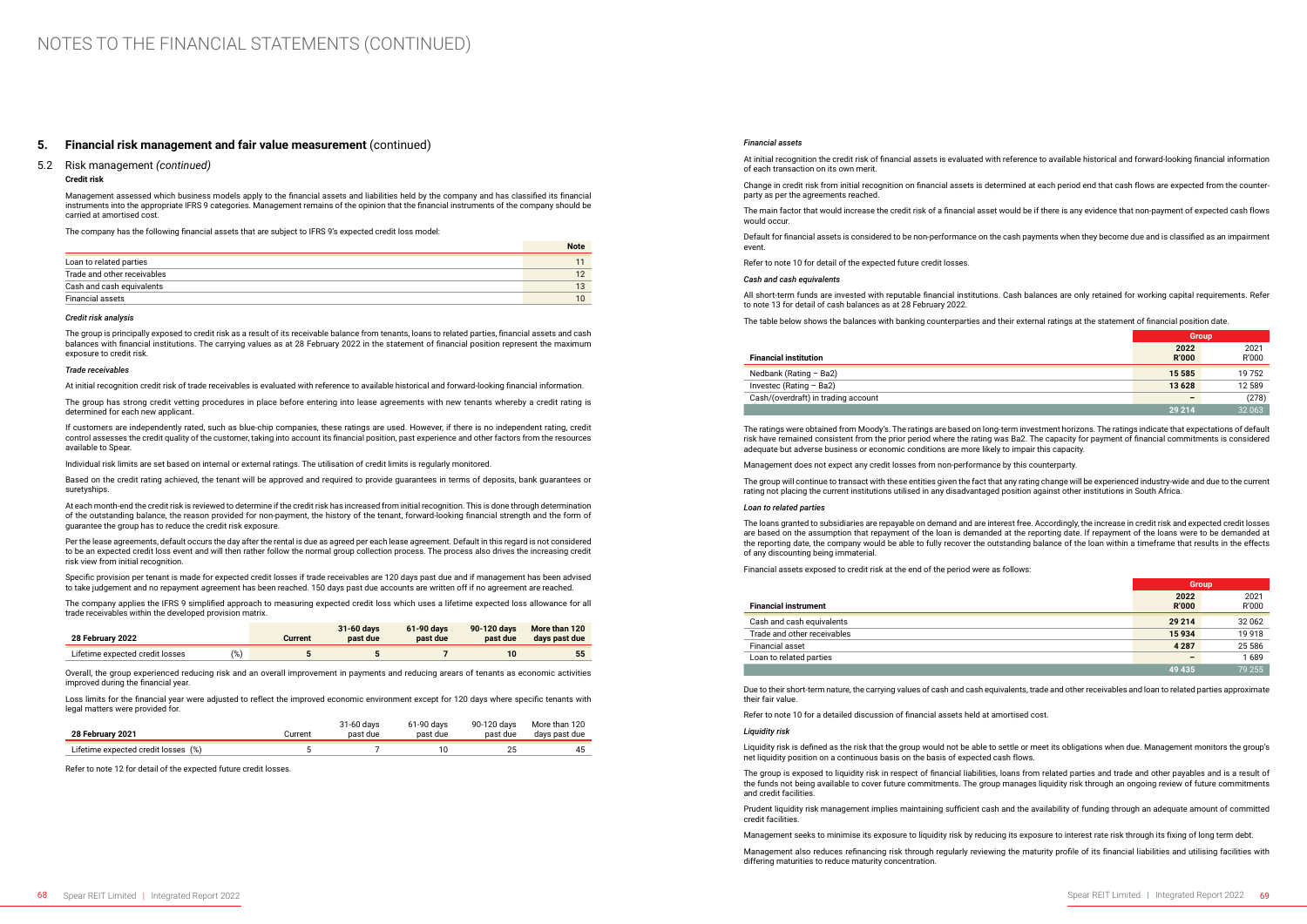### **5. Financial risk management and fair value measurement** (continued)

#### 5.2 Risk management *(continued)*

#### **Credit risk**

Management assessed which business models apply to the financial assets and liabilities held by the company and has classified its financial instruments into the appropriate IFRS 9 categories. Management remains of the opinion that the financial instruments of the company should be carried at amortised cost.

The company has the following financial assets that are subject to IFRS 9's expected credit loss model:

|                             | <b>Note</b> |
|-----------------------------|-------------|
| Loan to related parties     |             |
| Trade and other receivables | 12          |
| Cash and cash equivalents   | 13          |
| Financial assets            | 10          |

#### *Credit risk analysis*

The group is principally exposed to credit risk as a result of its receivable balance from tenants, loans to related parties, financial assets and cash balances with financial institutions. The carrying values as at 28 February 2022 in the statement of financial position represent the maximum exposure to credit risk.

#### *Trade receivables*

At initial recognition credit risk of trade receivables is evaluated with reference to available historical and forward-looking financial information.

The group has strong credit vetting procedures in place before entering into lease agreements with new tenants whereby a credit rating is determined for each new applicant.

If customers are independently rated, such as blue-chip companies, these ratings are used. However, if there is no independent rating, credit control assesses the credit quality of the customer, taking into account its financial position, past experience and other factors from the resources available to Spear.

Overall, the group experienced reducing risk and an overall improvement in payments and reducing arears of tenants as economic activities improved during the financial year

Individual risk limits are set based on internal or external ratings. The utilisation of credit limits is regularly monitored.

Based on the credit rating achieved, the tenant will be approved and required to provide guarantees in terms of deposits, bank guarantees or suretyships.

At each month-end the credit risk is reviewed to determine if the credit risk has increased from initial recognition. This is done through determination of the outstanding balance, the reason provided for non-payment, the history of the tenant, forward-looking financial strength and the form of guarantee the group has to reduce the credit risk exposure.

Per the lease agreements, default occurs the day after the rental is due as agreed per each lease agreement. Default in this regard is not considered to be an expected credit loss event and will then rather follow the normal group collection process. The process also drives the increasing credit risk view from initial recognition.

Specific provision per tenant is made for expected credit losses if trade receivables are 120 days past due and if management has been advised to take judgement and no repayment agreement has been reached. 150 days past due accounts are written off if no agreement are reached.

The company applies the IFRS 9 simplified approach to measuring expected credit loss which uses a lifetime expected loss allowance for all trade receivables within the developed provision matrix.

| 28 February 2022                |               | Current | 31-60 days<br>past due | 61-90 days<br>past due | 90-120 days<br>past due | More than 120<br>days past due |
|---------------------------------|---------------|---------|------------------------|------------------------|-------------------------|--------------------------------|
| Lifetime expected credit losses | $\frac{1}{6}$ |         |                        |                        |                         | 55                             |

Loss limits for the financial year were adjusted to reflect the improved economic environment except for 120 days where specific tenants with legal matters were provided for.

| 28 February 2021                    | Current | 31-60 days<br>past due | 61-90 days<br>past due | 90-120 davs<br>past due | More than 120<br>days past due |
|-------------------------------------|---------|------------------------|------------------------|-------------------------|--------------------------------|
| Lifetime expected credit losses (%) |         |                        |                        | 25                      | 45                             |

Refer to note 12 for detail of the expected future credit losses.

#### *Financial assets*

At initial recognition the credit risk of financial assets is evaluated with reference to available historical and forward-looking financial information of each transaction on its own merit. Change in credit risk from initial recognition on financial assets is determined at each period end that cash flows are expected from the counterparty as per the agreements reached. The main factor that would increase the credit risk of a financial asset would be if there is any evidence that non-payment of expected cash flows would occur. Default for financial assets is considered to be non-performance on the cash payments when they become due and is classified as an impairment

event.

Refer to note 10 for detail of the expected future credit losses.

#### *Cash and cash equivalents*

All short-term funds are invested with reputable financial institutions. Cash balances are only retained for working capital requirements. Refer to note 13 for detail of cash balances as at 28 February 2022.

The table below shows the balances with banking counterparties and their external ratings at the statement of financial position date.

|                                     | <b>Group</b>    |        |
|-------------------------------------|-----------------|--------|
|                                     | 2022            | 2021   |
| <b>Financial institution</b>        | <b>R'000</b>    | R'000  |
| Nedbank (Rating $-$ Ba2)            | 15 585          | 19 752 |
| Investec (Rating - Ba2)             | 13 6 28         | 12 589 |
| Cash/(overdraft) in trading account | $\qquad \qquad$ | (278)  |
|                                     | 29 214          | 32 063 |

The ratings were obtained from Moody's. The ratings are based on long-term investment horizons. The ratings indicate that expectations of default risk have remained consistent from the prior period where the rating was Ba2. The capacity for payment of financial commitments is considered adequate but adverse business or economic conditions are more likely to impair this capacity.

Management does not expect any credit losses from non-performance by this counterparty.

The group will continue to transact with these entities given the fact that any rating change will be experienced industry-wide and due to the current rating not placing the current institutions utilised in any disadvantaged position against other institutions in South Africa.

#### *Loan to related parties*

The loans granted to subsidiaries are repayable on demand and are interest free. Accordingly, the increase in credit risk and expected credit losses are based on the assumption that repayment of the loan is demanded at the reporting date. If repayment of the loans were to be demanded at the reporting date, the company would be able to fully recover the outstanding balance of the loan within a timeframe that results in the effects of any discounting being immaterial.

Financial assets exposed to credit risk at the end of the period were as follows:

|                             | <b>Group</b>             |         |
|-----------------------------|--------------------------|---------|
|                             | 2022                     | 2021    |
| <b>Financial instrument</b> | <b>R'000</b>             | R'000   |
| Cash and cash equivalents   | 29 214                   | 32 062  |
| Trade and other receivables | 15934                    | 19 9 18 |
| <b>Financial asset</b>      | 4 2 8 7                  | 25 5 86 |
| Loan to related parties     | $\overline{\phantom{0}}$ | 1689    |
|                             | 49 435                   | 79 255  |

Due to their short-term nature, the carrying values of cash and cash equivalents, trade and other receivables and loan to related parties approximate their fair value.

Refer to note 10 for a detailed discussion of financial assets held at amortised cost.

#### *Liquidity risk*

Liquidity risk is defined as the risk that the group would not be able to settle or meet its obligations when due. Management monitors the group's net liquidity position on a continuous basis on the basis of expected cash flows.

The group is exposed to liquidity risk in respect of financial liabilities, loans from related parties and trade and other payables and is a result of the funds not being available to cover future commitments. The group manages liquidity risk through an ongoing review of future commitments and credit facilities.

Prudent liquidity risk management implies maintaining sufficient cash and the availability of funding through an adequate amount of committed credit facilities.

Management seeks to minimise its exposure to liquidity risk by reducing its exposure to interest rate risk through its fixing of long term debt.

Management also reduces refinancing risk through regularly reviewing the maturity profile of its financial liabilities and utilising facilities with differing maturities to reduce maturity concentration.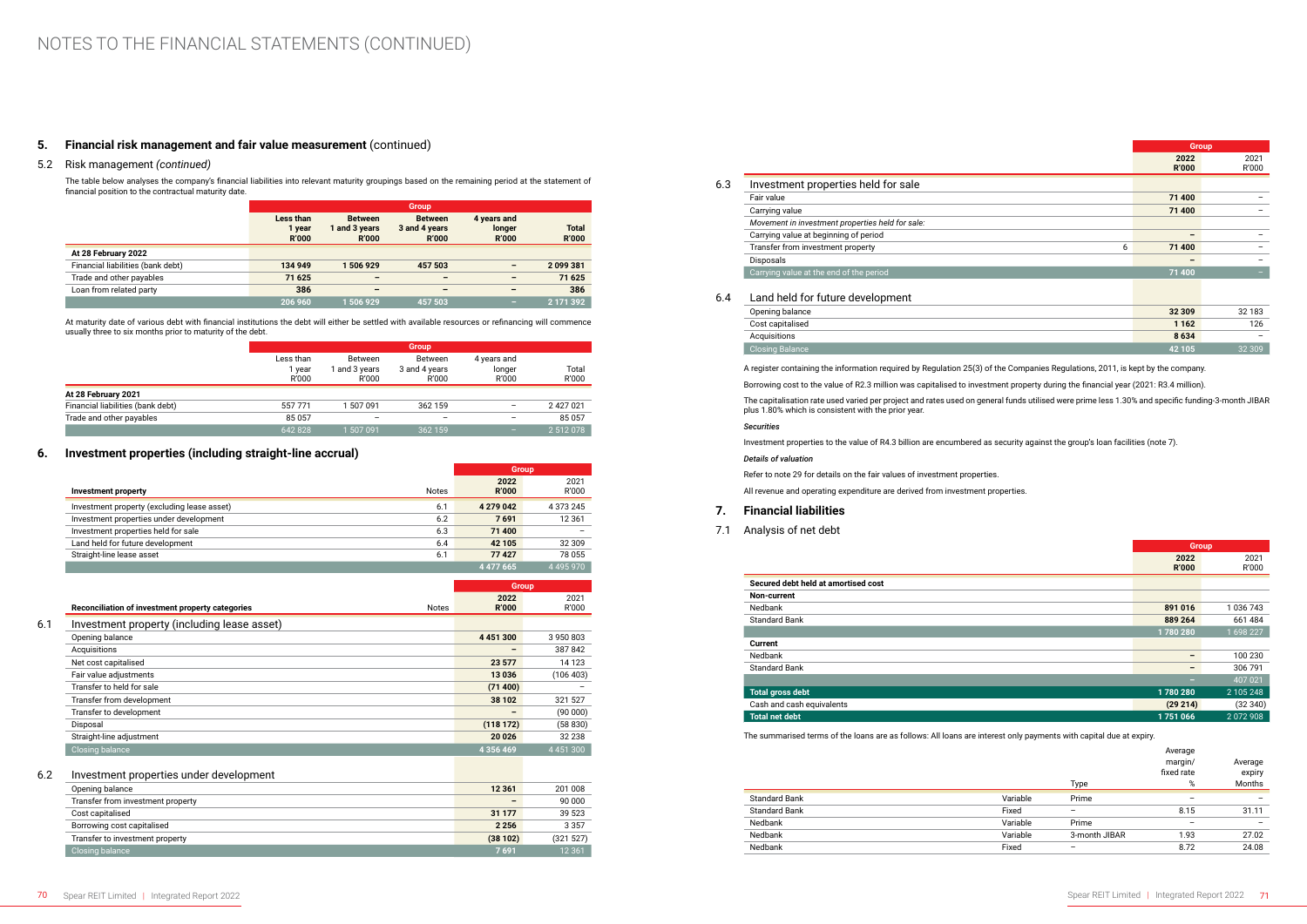## **5. Financial risk management and fair value measurement** (continued)

### 5.2 Risk management *(continued)*

The table below analyses the company's financial liabilities into relevant maturity groupings based on the remaining period at the statement of financial position to the contractual maturity date.

|                                   |                                     |                                                 | <b>Group</b>                                    |                                       |                              |
|-----------------------------------|-------------------------------------|-------------------------------------------------|-------------------------------------------------|---------------------------------------|------------------------------|
|                                   | Less than<br>1 year<br><b>R'000</b> | <b>Between</b><br>1 and 3 years<br><b>R'000</b> | <b>Between</b><br>3 and 4 years<br><b>R'000</b> | 4 years and<br>longer<br><b>R'000</b> | <b>Total</b><br><b>R'000</b> |
| At 28 February 2022               |                                     |                                                 |                                                 |                                       |                              |
| Financial liabilities (bank debt) | 134 949                             | 1506929                                         | 457 503                                         | $\overline{\phantom{0}}$              | 2099381                      |
| Trade and other payables          | 71 625                              | $\overline{\phantom{0}}$                        | $\overline{\phantom{0}}$                        | $\overline{\phantom{0}}$              | 71 625                       |
| Loan from related party           | 386                                 | -                                               | $\overline{\phantom{0}}$                        | -                                     | 386                          |
|                                   | 206 960                             | 506929                                          | 457 503                                         | -                                     | 2 171 392                    |

At maturity date of various debt with financial institutions the debt will either be settled with available resources or refinancing will commence usually three to six months prior to maturity of the debt.

|                                   |                              |                                        | <b>Group</b>                      |                                |                |
|-----------------------------------|------------------------------|----------------------------------------|-----------------------------------|--------------------------------|----------------|
|                                   | Less than<br>l year<br>R'000 | <b>Between</b><br>and 3 years<br>R'000 | Between<br>3 and 4 years<br>R'000 | 4 years and<br>longer<br>R'000 | Total<br>R'000 |
| At 28 February 2021               |                              |                                        |                                   |                                |                |
| Financial liabilities (bank debt) | 557771                       | 507091                                 | 362 159                           | -                              | 2 427 021      |
| Trade and other payables          | 85057                        | -                                      |                                   | -                              | 85057          |
|                                   | 642828                       | 1 507 091                              | 362 159                           | -                              | 2 512 078      |

### **6. Investment properties (including straight-line accrual)**

|                                             |              | <b>Group</b>         |               |
|---------------------------------------------|--------------|----------------------|---------------|
| Investment property                         | <b>Notes</b> | 2022<br><b>R'000</b> | 2021<br>R'000 |
| Investment property (excluding lease asset) | 6.1          | 4 279 042            | 4 373 245     |
| Investment properties under development     | 6.2          | 7691                 | 12 3 61       |
| Investment properties held for sale         | 6.3          | 71 400               |               |
| Land held for future development            | 6.4          | 42 105               | 32 309        |
| Straight-line lease asset                   | 6.1          | 77427                | 78 055        |
|                                             |              | 4 477 665            | 4495970       |

| 2022<br><b>R'000</b><br><b>Notes</b> | <b>Group</b><br>2021 |
|--------------------------------------|----------------------|
|                                      |                      |
|                                      |                      |
|                                      | R'000                |
|                                      |                      |
| 4 4 5 1 3 0 0                        | 3950803              |
| -                                    | 387842               |
| 23 577                               | 14 1 23              |
| 13 0 36                              | (106 403)            |
|                                      |                      |
| 38 102                               | 321 527              |
|                                      | (90000)              |
|                                      | (58830)              |
| 20 0 26                              | 32 238               |
| 4 3 5 6 4 6 9                        | 4 4 5 1 3 0 0        |
|                                      | (71 400)<br>(118172) |

### 6.2 Investment properties under development

| Opening balance                   | 12 3 61         | 201 008   |
|-----------------------------------|-----------------|-----------|
| Transfer from investment property | $\qquad \qquad$ | 90 000    |
| Cost capitalised                  | 31 177          | 39 523    |
| Borrowing cost capitalised        | 2 2 5 6         | 3 3 5 7   |
| Transfer to investment property   | (38102)         | (321 527) |
| Closing balance                   | 7691            | 12 3 61   |

|     |                                                  |                      | <b>Group</b>  |
|-----|--------------------------------------------------|----------------------|---------------|
|     |                                                  | 2022<br><b>R'000</b> | 2021<br>R'000 |
| 6.3 | Investment properties held for sale              |                      |               |
|     | Fair value                                       | 71 400               |               |
|     | Carrying value                                   | 71 400               | -             |
|     | Movement in investment properties held for sale: |                      |               |
|     | Carrying value at beginning of period            | -                    |               |
|     | Transfer from investment property<br>6           | 71 400               |               |
|     | Disposals                                        | $\qquad \qquad$      |               |
|     | Carrying value at the end of the period          | 71 400               |               |
| 6.4 | Land held for future development                 |                      |               |
|     | Opening balance                                  | 32 309               | 32 183        |
|     | Cost capitalised                                 | 1 1 6 2              | 126           |
|     | Acquisitions                                     | 8634                 |               |
|     | <b>Closing Balance</b>                           | 42 105               | 32309         |

|                                                  |              | <b>Group</b> |
|--------------------------------------------------|--------------|--------------|
|                                                  | 2022         | 2021         |
|                                                  | <b>R'000</b> | R'000        |
| Investment properties held for sale              |              |              |
| Fair value                                       | 71 400       |              |
| Carrying value                                   | 71 400       |              |
| Movement in investment properties held for sale: |              |              |
| Carrying value at beginning of period            |              |              |
| Transfer from investment property<br>6           | 71 400       |              |
| Disposals                                        |              |              |
| Carrying value at the end of the period          | 71 400       | -            |
|                                                  |              |              |
| Land held for future development                 |              |              |
| Opening balance                                  | 32 309       | 32 183       |
| Cost capitalised                                 | 1 1 6 2      | 126          |
| Acquisitions                                     | 8634         |              |
| <b>Closing Balance</b>                           | 42 105       | 32 309       |

A register containing the information required by Regulation 25(3) of the Companies Regulations, 2011, is kept by the company.

Borrowing cost to the value of R2.3 million was capitalised to investment property during the financial year (2021: R3.4 million).

The capitalisation rate used varied per project and rates used on general funds utilised were prime less 1.30% and specific funding-3-month JIBAR plus 1.80% which is consistent with the prior year.

### *Securities*

Investment properties to the value of R4.3 billion are encumbered as security against the group's loan facilities (note 7). *Details of valuation*

Refer to note 29 for details on the fair values of investment properties.

All revenue and operating expenditure are derived from investment properties.

### **7. Financial liabilities**

7.1 Analysis of net debt

|                                     |              | <b>Group</b> |
|-------------------------------------|--------------|--------------|
|                                     | 2022         | 2021         |
|                                     | <b>R'000</b> | R'000        |
| Secured debt held at amortised cost |              |              |
| Non-current                         |              |              |
| Nedbank                             | 891 016      | 1 036 743    |
| <b>Standard Bank</b>                | 889 264      | 661 484      |
|                                     | 1780280      | 1698227      |
| <b>Current</b>                      |              |              |
| Nedbank                             | -            | 100 230      |
| <b>Standard Bank</b>                | -            | 306 791      |
|                                     | -            | 407 021      |
| <b>Total gross debt</b>             | 1780280      | 2 105 248    |
| Cash and cash equivalents           | (29 214)     | (32340)      |
| <b>Total net debt</b>               | 1751066      | 2072908      |

The summarised terms of the loans are as follows: All loans are interest only payments with capital due at expiry.

|                      |          |               | Average                  |                          |
|----------------------|----------|---------------|--------------------------|--------------------------|
|                      |          |               | margin/                  | Average                  |
|                      |          |               | fixed rate               | expiry                   |
|                      |          | Type          | %                        | Months                   |
| <b>Standard Bank</b> | Variable | Prime         | $\overline{\phantom{0}}$ | $\overline{\phantom{0}}$ |
| <b>Standard Bank</b> | Fixed    | -             | 8.15                     | 31.11                    |
| Nedbank              | Variable | Prime         |                          | $\overline{\phantom{0}}$ |
| Nedbank              | Variable | 3-month JIBAR | 1.93                     | 27.02                    |
| Nedbank              | Fixed    | -             | 8.72                     | 24.08                    |
|                      |          |               |                          |                          |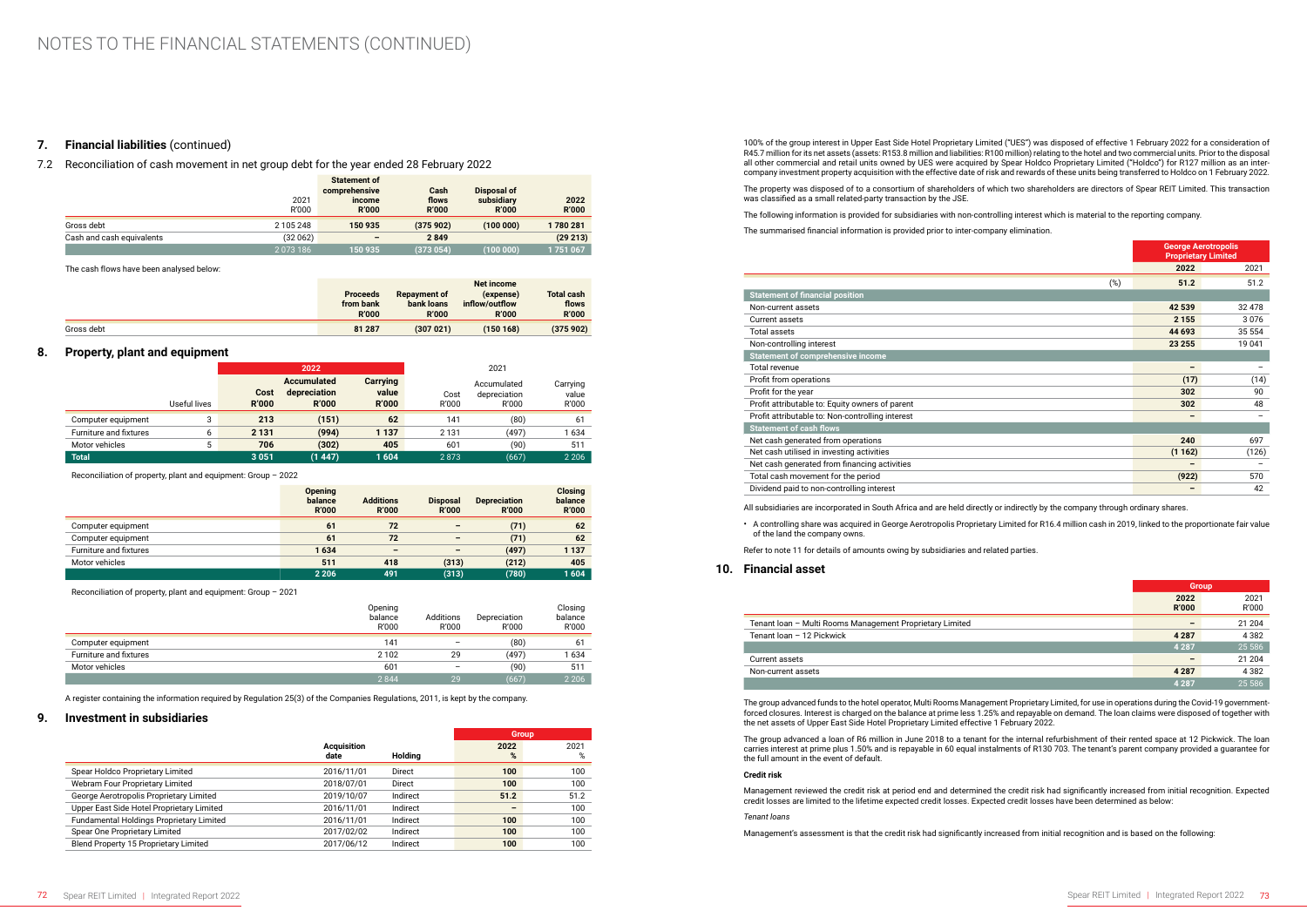### **7. Financial liabilities** (continued)

7.2 Reconciliation of cash movement in net group debt for the year ended 28 February 2022

|                           | 2021<br>R'000 | <b>Statement of</b><br>comprehensive<br>income<br><b>R'000</b> | Cash<br>flows<br><b>R'000</b> | Disposal of<br>subsidiary<br><b>R'000</b> | 2022<br><b>R'000</b> |
|---------------------------|---------------|----------------------------------------------------------------|-------------------------------|-------------------------------------------|----------------------|
| Gross debt                | 2 105 248     | 150 935                                                        | (375902)                      | (100000)                                  | 1780281              |
| Cash and cash equivalents | (32062)       | $\overline{\phantom{0}}$                                       | 2849                          |                                           | (29 213)             |
|                           | 2073186       | 150 935                                                        | (373054)                      | (100 000)                                 | 1751067              |

The cash flows have been analysed below:

|            | <b>Proceeds</b><br>from bank<br><b>R'000</b> | <b>Repayment of</b><br>bank loans<br><b>R'000</b> | <b>Net income</b><br>(expense)<br>inflow/outflow<br><b>R'000</b> | <b>Total cash</b><br>flows<br><b>R'000</b> |
|------------|----------------------------------------------|---------------------------------------------------|------------------------------------------------------------------|--------------------------------------------|
| Gross debt | 81 287                                       | (307021)                                          | (150168)                                                         | (375902)                                   |

### **8. Property, plant and equipment**

|                        |              |                      | 2022                                               |                                   |               | 2021                                 |                            |
|------------------------|--------------|----------------------|----------------------------------------------------|-----------------------------------|---------------|--------------------------------------|----------------------------|
|                        | Useful lives | Cost<br><b>R'000</b> | <b>Accumulated</b><br>depreciation<br><b>R'000</b> | Carrying<br>value<br><b>R'000</b> | Cost<br>R'000 | Accumulated<br>depreciation<br>R'000 | Carrying<br>value<br>R'000 |
| Computer equipment     | 3            | 213                  | (151)                                              | 62                                | 141           | (80)                                 | 61                         |
| Furniture and fixtures | ь            | 2 1 3 1              | (994)                                              | 1 1 3 7                           | 2 1 3 1       | (497)                                | 1634                       |
| Motor vehicles         | 5            | 706                  | (302)                                              | 405                               | 601           | (90)                                 | 511                        |
| <b>Total</b>           |              | 3 0 5 1              | (1447)                                             | 1604                              | 2873          | (667)                                | 2 2 0 6                    |

Reconciliation of property, plant and equipment: Group – 2022

|                        | <b>Opening</b><br>balance<br><b>R'000</b> | <b>Additions</b><br><b>R'000</b> | <b>Disposal</b><br><b>R'000</b> | <b>Depreciation</b><br><b>R'000</b> | <b>Closing</b><br>balance<br><b>R'000</b> |
|------------------------|-------------------------------------------|----------------------------------|---------------------------------|-------------------------------------|-------------------------------------------|
| Computer equipment     | 61                                        | 72                               | $\overline{\phantom{0}}$        | (71)                                | 62                                        |
| Computer equipment     | 61                                        | 72                               | $\overline{\phantom{0}}$        | (71)                                | 62                                        |
| Furniture and fixtures | 1634                                      | $\overline{\phantom{a}}$         | $\overline{\phantom{0}}$        | (497)                               | 1 1 3 7                                   |
| Motor vehicles         | 511                                       | 418                              | (313)                           | (212)                               | 405                                       |
|                        | 2 2 0 6                                   | 491                              | (313)                           | (780)                               | 1604                                      |

Reconciliation of property, plant and equipment: Group – 2021

|                        | Opening<br>balance<br>R'000 | Additions<br>R'000       | Depreciation<br>R'000 | Closing<br>balance<br>R'000 |
|------------------------|-----------------------------|--------------------------|-----------------------|-----------------------------|
| Computer equipment     | 141                         | $\overline{\phantom{m}}$ | (80)                  | 61                          |
| Furniture and fixtures | 2 1 0 2                     | 29                       | (497)                 | 1634                        |
| Motor vehicles         | 601                         | $\overline{\phantom{0}}$ | (90)                  | 511                         |
|                        | 2844                        | 29                       | (667)                 | 2 2 0 6                     |

A register containing the information required by Regulation 25(3) of the Companies Regulations, 2011, is kept by the company.

### **9. Investment in subsidiaries**

|                                              |                    |                | <b>Group</b> |      |
|----------------------------------------------|--------------------|----------------|--------------|------|
|                                              | <b>Acquisition</b> |                | 2022         | 2021 |
|                                              | date               | <b>Holding</b> | %            | %    |
| Spear Holdco Proprietary Limited             | 2016/11/01         | Direct         | 100          | 100  |
| Webram Four Proprietary Limited              | 2018/07/01         | Direct         | 100          | 100  |
| George Aerotropolis Proprietary Limited      | 2019/10/07         | Indirect       | 51.2         | 51.2 |
| Upper East Side Hotel Proprietary Limited    | 2016/11/01         | Indirect       |              | 100  |
| Fundamental Holdings Proprietary Limited     | 2016/11/01         | Indirect       | 100          | 100  |
| Spear One Proprietary Limited                | 2017/02/02         | Indirect       | 100          | 100  |
| <b>Blend Property 15 Proprietary Limited</b> | 2017/06/12         | Indirect       | 100          | 100  |

100% of the group interest in Upper East Side Hotel Proprietary Limited ("UES") was disposed of effective 1 February 2022 for a consideration of R45.7 million for its net assets (assets: R153.8 million and liabilities: R100 million) relating to the hotel and two commercial units. Prior to the disposal all other commercial and retail units owned by UES were acquired by Spear Holdco Proprietary Limited ("Holdco") for R127 million as an intercompany investment property acquisition with the effective date of risk and rewards of these units being transferred to Holdco on 1 February 2022.

The property was disposed of to a consortium of shareholders of which two shareholders are directors of Spear REIT Limited. This transaction was classified as a small related-party transaction by the JSE.

The following information is provided for subsidiaries with non-controlling interest which is material to the reporting company.

The summarised financial information is provided prior to inter-company elimination.

|                                                  | <b>George Aerotropolis</b><br><b>Proprietary Limited</b> |        |
|--------------------------------------------------|----------------------------------------------------------|--------|
|                                                  | 2022                                                     | 2021   |
| (%)                                              | 51.2                                                     | 51.2   |
| <b>Statement of financial position</b>           |                                                          |        |
| Non-current assets                               | 42 539                                                   | 32 478 |
| Current assets                                   | 2 1 5 5                                                  | 3076   |
| Total assets                                     | 44 693                                                   | 35 554 |
| Non-controlling interest                         | 23 255                                                   | 19 041 |
| <b>Statement of comprehensive income</b>         |                                                          |        |
| <b>Total revenue</b>                             | -                                                        |        |
| Profit from operations                           | (17)                                                     | (14)   |
| Profit for the year                              | 302                                                      | 90     |
| Profit attributable to: Equity owners of parent  | 302                                                      | 48     |
| Profit attributable to: Non-controlling interest |                                                          |        |
| <b>Statement of cash flows</b>                   |                                                          |        |
| Net cash generated from operations               | 240                                                      | 697    |
| Net cash utilised in investing activities        | (1162)                                                   | (126)  |
| Net cash generated from financing activities     |                                                          |        |
| Total cash movement for the period               | (922)                                                    | 570    |
| Dividend paid to non-controlling interest        |                                                          | 42     |

All subsidiaries are incorporated in South Africa and are held directly or indirectly by the company through ordinary shares.

• A controlling share was acquired in George Aerotropolis Proprietary Limited for R16.4 million cash in 2019, linked to the proportionate fair value of the land the company owns.

Refer to note 11 for details of amounts owing by subsidiaries and related parties.

### **10. Financial asset**

|                                                          | <b>Group</b>         |               |
|----------------------------------------------------------|----------------------|---------------|
|                                                          | 2022<br><b>R'000</b> | 2021<br>R'000 |
| Tenant Ioan - Multi Rooms Management Proprietary Limited |                      | 21 204        |
| Tenant loan - 12 Pickwick                                | 4 2 8 7              | 4 3 8 2       |
|                                                          | 4 2 8 7              | 25 5 86       |
| Current assets                                           |                      | 21 204        |
| Non-current assets                                       | 4 2 8 7              | 4 3 8 2       |
|                                                          | 4 2 8 7              | 25 5 86       |

The group advanced funds to the hotel operator, Multi Rooms Management Proprietary Limited, for use in operations during the Covid-19 governmentforced closures. Interest is charged on the balance at prime less 1.25% and repayable on demand. The loan claims were disposed of together with the net assets of Upper East Side Hotel Proprietary Limited effective 1 February 2022.

The group advanced a loan of R6 million in June 2018 to a tenant for the internal refurbishment of their rented space at 12 Pickwick. The loan carries interest at prime plus 1.50% and is repayable in 60 equal instalments of R130 703. The tenant's parent company provided a guarantee for the full amount in the event of default.

### **Credit risk**

Management reviewed the credit risk at period end and determined the credit risk had significantly increased from initial recognition. Expected credit losses are limited to the lifetime expected credit losses. Expected credit losses have been determined as below:

*Tenant loans*

Management's assessment is that the credit risk had significantly increased from initial recognition and is based on the following: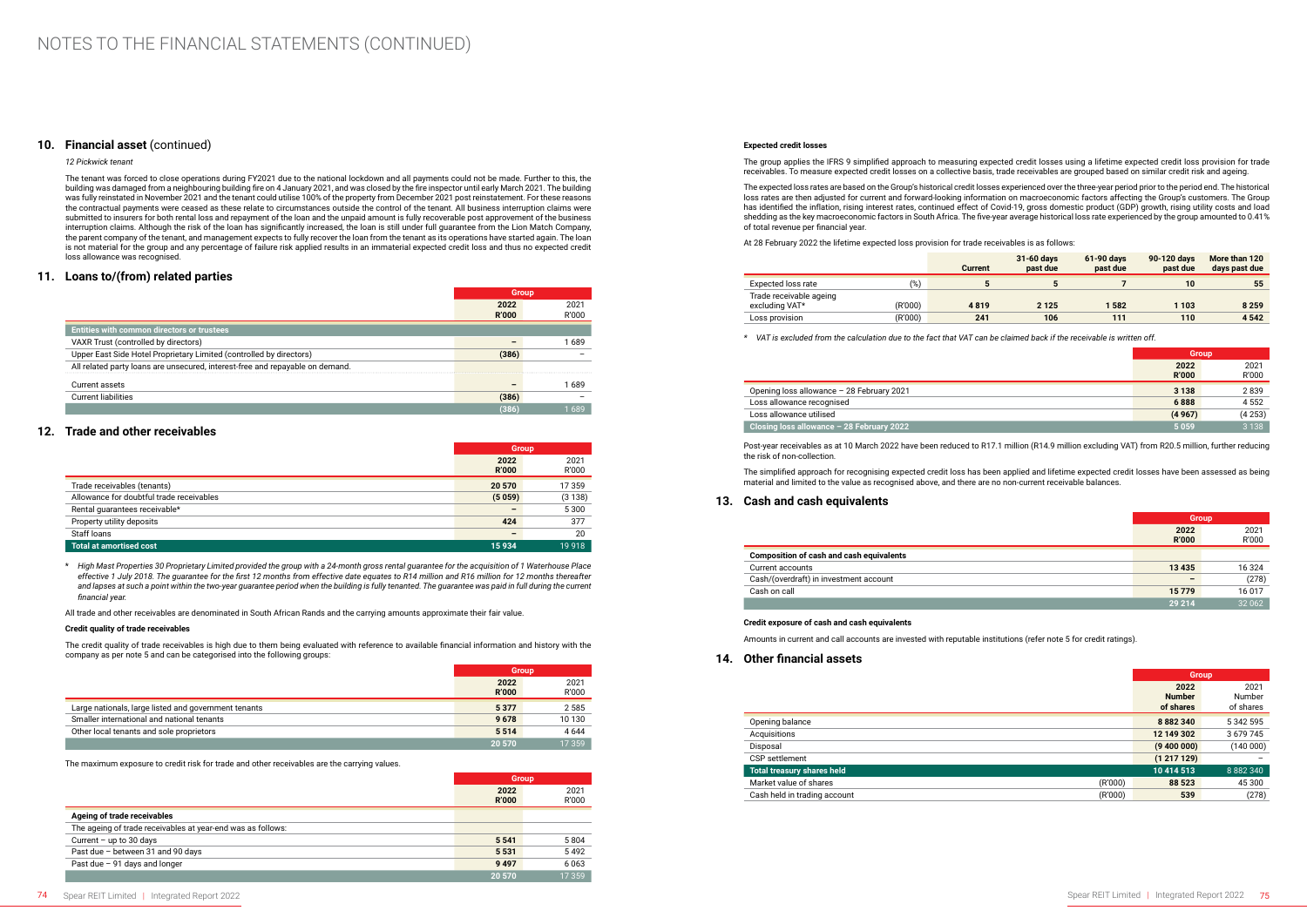### **10. Financial asset** (continued)

*12 Pickwick tenant*

The tenant was forced to close operations during FY2021 due to the national lockdown and all payments could not be made. Further to this, the building was damaged from a neighbouring building fire on 4 January 2021, and was closed by the fire inspector until early March 2021. The building was fully reinstated in November 2021 and the tenant could utilise 100% of the property from December 2021 post reinstatement. For these reasons the contractual payments were ceased as these relate to circumstances outside the control of the tenant. All business interruption claims were submitted to insurers for both rental loss and repayment of the loan and the unpaid amount is fully recoverable post approvement of the business interruption claims. Although the risk of the loan has significantly increased, the loan is still under full guarantee from the Lion Match Company, the parent company of the tenant, and management expects to fully recover the loan from the tenant as its operations have started again. The loan is not material for the group and any percentage of failure risk applied results in an immaterial expected credit loss and thus no expected credit loss allowance was recognised.

### **11. Loans to/(from) related parties**

|                                                                               |              | <b>Group</b> |
|-------------------------------------------------------------------------------|--------------|--------------|
|                                                                               | 2022         | 2021         |
|                                                                               | <b>R'000</b> | R'000        |
| <b>Entities with common directors or trustees</b>                             |              |              |
| VAXR Trust (controlled by directors)                                          |              | 689          |
| Upper East Side Hotel Proprietary Limited (controlled by directors)           | (386)        |              |
| All related party loans are unsecured, interest-free and repayable on demand. |              |              |
| Current assets                                                                |              | 689          |
| <b>Current liabilities</b>                                                    | (386)        |              |
|                                                                               | (386         | 689          |

### **12. Trade and other receivables**

|                                          | <b>Group</b>         |               |
|------------------------------------------|----------------------|---------------|
|                                          | 2022<br><b>R'000</b> | 2021<br>R'000 |
| Trade receivables (tenants)              | 20 570               | 17 359        |
| Allowance for doubtful trade receivables | (5059)               | (3138)        |
| Rental quarantees receivable*            |                      | 5 3 0 0       |
| Property utility deposits                | 424                  | 377           |
| Staff loans                              |                      | 20            |
| <b>Total at amortised cost</b>           | 15 934               | 19 9 18       |

\* *High Mast Properties 30 Proprietary Limited provided the group with a 24-month gross rental guarantee for the acquisition of 1 Waterhouse Place effective 1 July 2018. The guarantee for the first 12 months from effective date equates to R14 million and R16 million for 12 months thereafter*  and lapses at such a point within the two-year guarantee period when the building is fully tenanted. The guarantee was paid in full during the current *financial year.*

All trade and other receivables are denominated in South African Rands and the carrying amounts approximate their fair value.

#### **Credit quality of trade receivables**

The credit quality of trade receivables is high due to them being evaluated with reference to available financial information and history with the company as per note 5 and can be categorised into the following groups:

|                                                      | <b>Group</b> |         |
|------------------------------------------------------|--------------|---------|
|                                                      | 2022         | 2021    |
|                                                      | <b>R'000</b> | R'000   |
| Large nationals, large listed and government tenants | 5 3 7 7      | 2 5 8 5 |
| Smaller international and national tenants           | 9678         | 10 130  |
| Other local tenants and sole proprietors             | 5514         | 4 6 4 4 |
|                                                      | 20 570       | 17 359  |

The maximum exposure to credit risk for trade and other receivables are the carrying values.

|                                                             | <b>Group</b>         |               |
|-------------------------------------------------------------|----------------------|---------------|
|                                                             | 2022<br><b>R'000</b> | 2021<br>R'000 |
| Ageing of trade receivables                                 |                      |               |
| The ageing of trade receivables at year-end was as follows: |                      |               |
| Current $-$ up to 30 days                                   | 5 5 4 1              | 5804          |
| Past due - between 31 and 90 days                           | 5 5 3 1              | 5492          |
| Past due $-91$ days and longer                              | 9 4 9 7              | 6063          |
|                                                             | 20 570               | 17 359        |

#### **Expected credit losses**

The group applies the IFRS 9 simplified approach to measuring expected credit losses using a lifetime expected credit loss provision for trade receivables. To measure expected credit losses on a collective basis, trade receivables are grouped based on similar credit risk and ageing.

The expected loss rates are based on the Group's historical credit losses experienced over the three-year period prior to the period end. The historical loss rates are then adjusted for current and forward-looking information on macroeconomic factors affecting the Group's customers. The Group has identified the inflation, rising interest rates, continued effect of Covid-19, gross domestic product (GDP) growth, rising utility costs and load shedding as the key macroeconomic factors in South Africa. The five-year average historical loss rate experienced by the group amounted to 0.41% of total revenue per financial year.

At 28 February 2022 the lifetime expected loss provision for trade receivables is as follows:

|                                           |         | <b>Current</b> | 31-60 days<br>past due | 61-90 days<br>past due | 90-120 days<br>past due | More than 120<br>days past due |
|-------------------------------------------|---------|----------------|------------------------|------------------------|-------------------------|--------------------------------|
| Expected loss rate                        | (%)     |                |                        |                        | 10                      | 55                             |
| Trade receivable ageing<br>excluding VAT* | (R'000) | 4819           | 2 1 2 5                | 1582                   | 1 1 0 3                 | 8 2 5 9                        |
| Loss provision                            | (R'000) | 241            | 106                    | 111                    | 110                     | 4 5 4 2                        |

*\* VAT is excluded from the calculation due to the fact that VAT can be claimed back if the receivable is written off.*

|                                           | <b>Group</b> |         |
|-------------------------------------------|--------------|---------|
|                                           | 2022         | 2021    |
|                                           | <b>R'000</b> | R'000   |
| Opening loss allowance - 28 February 2021 | 3 1 3 8      | 2839    |
| Loss allowance recognised                 | 6888         | 4 5 5 2 |
| Loss allowance utilised                   | (4967)       | (4253)  |
| Closing loss allowance - 28 February 2022 | 5059         | 3 1 3 8 |

Post-year receivables as at 10 March 2022 have been reduced to R17.1 million (R14.9 million excluding VAT) from R20.5 million, further reducing the risk of non-collection.

The simplified approach for recognising expected credit loss has been applied and lifetime expected credit losses have been assessed as being material and limited to the value as recognised above, and there are no non-current receivable balances.

### **13. Cash and cash equivalents**

|                                                 |                      | Group         |  |
|-------------------------------------------------|----------------------|---------------|--|
|                                                 | 2022<br><b>R'000</b> | 2021<br>R'000 |  |
| <b>Composition of cash and cash equivalents</b> |                      |               |  |
| Current accounts                                | 13 4 35              | 16 324        |  |
| Cash/(overdraft) in investment account          |                      | (278)         |  |
| Cash on call                                    | 15779                | 16 017        |  |
|                                                 | 29 214               | 32 062        |  |

#### **Credit exposure of cash and cash equivalents**

Amounts in current and call accounts are invested with reputable institutions (refer note 5 for credit ratings).

**14. Other financial assets**

|                              |         | <b>Group</b>                       |                             |
|------------------------------|---------|------------------------------------|-----------------------------|
|                              |         | 2022<br><b>Number</b><br>of shares | 2021<br>Number<br>of shares |
| Opening balance              |         | 8 8 8 2 3 4 0                      | 5 342 595                   |
| Acquisitions                 |         | 12 149 302                         | 3 679 745                   |
| Disposal                     |         | (9,400,000)                        | (140000)                    |
| CSP settlement               |         | (1217129)                          | -                           |
| Total treasury shares held   |         | 10 414 513                         | 8 8 8 2 3 4 0               |
| Market value of shares       | (R'000) | 88 523                             | 45 300                      |
| Cash held in trading account | (R'000) | 539                                | (278)                       |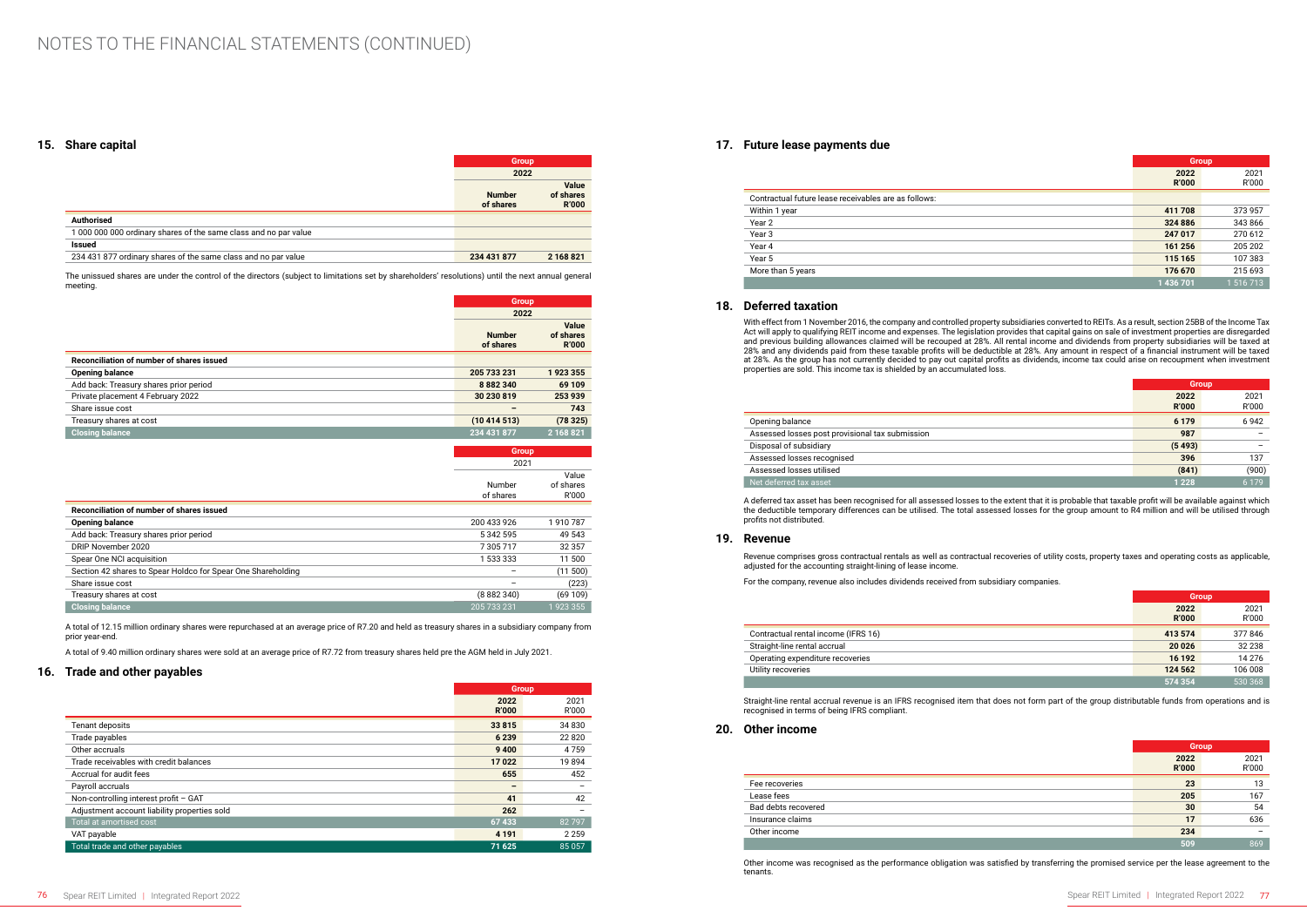### **15. Share capital**

|                                                                  | <b>Group</b>               |                                           |
|------------------------------------------------------------------|----------------------------|-------------------------------------------|
|                                                                  | 2022                       |                                           |
|                                                                  | <b>Number</b><br>of shares | <b>Value</b><br>of shares<br><b>R'000</b> |
| <b>Authorised</b>                                                |                            |                                           |
| 1 000 000 000 ordinary shares of the same class and no par value |                            |                                           |
| Issued                                                           |                            |                                           |
| 234 431 877 ordinary shares of the same class and no par value   | 234 431 877                | 2 168 821                                 |
|                                                                  |                            |                                           |

The unissued shares are under the control of the directors (subject to limitations set by shareholders' resolutions) until the next annual general meeting.

|                                           | <b>Group</b>  |                    |
|-------------------------------------------|---------------|--------------------|
|                                           | 2022          |                    |
|                                           | <b>Number</b> | Value<br>of shares |
|                                           | of shares     | <b>R'000</b>       |
| Reconciliation of number of shares issued |               |                    |
| <b>Opening balance</b>                    | 205 733 231   | 1923355            |
| Add back: Treasury shares prior period    | 8 8 8 2 3 4 0 | 69 109             |
| Private placement 4 February 2022         | 30 230 819    | 253 939            |
| Share issue cost                          |               | 743                |
| Treasury shares at cost                   | (10414513)    | (78325)            |
| <b>Closing balance</b>                    | 234 431 877   | 2 168 821          |
|                                           |               |                    |

|                                                              | <b>Group</b> |           |
|--------------------------------------------------------------|--------------|-----------|
|                                                              | 2021         |           |
|                                                              |              | Value     |
|                                                              | Number       | of shares |
|                                                              | of shares    | R'000     |
| Reconciliation of number of shares issued                    |              |           |
| <b>Opening balance</b>                                       | 200 433 926  | 1910787   |
| Add back: Treasury shares prior period                       | 5 342 595    | 49 543    |
| DRIP November 2020                                           | 7305717      | 32 3 5 7  |
| Spear One NCI acquisition                                    | 1 533 333    | 11 500    |
| Section 42 shares to Spear Holdco for Spear One Shareholding |              | (11 500)  |
| Share issue cost                                             |              | (223)     |
| Treasury shares at cost                                      | (8882340)    | (69109)   |
| <b>Closing balance</b>                                       | 205 733 231  | 1923355   |
|                                                              |              |           |

A total of 12.15 million ordinary shares were repurchased at an average price of R7.20 and held as treasury shares in a subsidiary company from prior year-end.

A total of 9.40 million ordinary shares were sold at an average price of R7.72 from treasury shares held pre the AGM held in July 2021.

### **16. Trade and other payables**

|                                              |                      | <b>Group</b>  |
|----------------------------------------------|----------------------|---------------|
|                                              | 2022<br><b>R'000</b> | 2021<br>R'000 |
| Tenant deposits                              | 33815                | 34 830        |
| Trade payables                               | 6 2 3 9              | 22820         |
| Other accruals                               | 9 4 0 0              | 4759          |
| Trade receivables with credit balances       | 17022                | 19894         |
| Accrual for audit fees                       | 655                  | 452           |
| Payroll accruals                             |                      |               |
| Non-controlling interest profit - GAT        | 41                   | 42            |
| Adjustment account liability properties sold | 262                  |               |
| Total at amortised cost                      | 67433                | 82797         |
| VAT payable                                  | 4 1 9 1              | 2 2 5 9       |
| Total trade and other payables               | 71 625               | 85 057        |

### **17. Future lease payments due**

|                                                      | <b>Group</b> |               |
|------------------------------------------------------|--------------|---------------|
|                                                      | 2022         | 2021<br>R'000 |
|                                                      | <b>R'000</b> |               |
| Contractual future lease receivables are as follows: |              |               |
| Within 1 year                                        | 411 708      | 373 957       |
| Year 2                                               | 324 886      | 343866        |
| Year 3                                               | 247 017      | 270 612       |
| Year 4                                               | 161 256      | 205 202       |
| Year 5                                               | 115 165      | 107383        |
| More than 5 years                                    | 176 670      | 215 693       |
|                                                      | 1 436 701    | 1 516 713     |

### **18. Deferred taxation**

With effect from 1 November 2016, the company and controlled property subsidiaries converted to REITs. As a result, section 25BB of the Income Tax Act will apply to qualifying REIT income and expenses. The legislation provides that capital gains on sale of investment properties are disregarded and previous building allowances claimed will be recouped at 28%. All rental income and dividends from property subsidiaries will be taxed at 28% and any dividends paid from these taxable profits will be deductible at 28%. Any amount in respect of a financial instrument will be taxed at 28%. As the group has not currently decided to pay out capital profits as dividends, income tax could arise on recoupment when investment properties are sold. This income tax is shielded by an accumulated loss.

|                                                 | <b>Group</b>         |               |
|-------------------------------------------------|----------------------|---------------|
|                                                 | 2022<br><b>R'000</b> | 2021<br>R'000 |
| Opening balance                                 | 6 1 7 9              | 6942          |
| Assessed losses post provisional tax submission | 987                  |               |
| Disposal of subsidiary                          | (5493)               |               |
| Assessed losses recognised                      | 396                  | 137           |
| Assessed losses utilised                        | (841)                | (900)         |
| Net deferred tax asset                          | 1 2 2 8              | 6 1 7 9       |

A deferred tax asset has been recognised for all assessed losses to the extent that it is probable that taxable profit will be available against which the deductible temporary differences can be utilised. The total assessed losses for the group amount to R4 million and will be utilised through profits not distributed.

### **19. Revenue**

Revenue comprises gross contractual rentals as well as contractual recoveries of utility costs, property taxes and operating costs as applicable, adjusted for the accounting straight-lining of lease income.

For the company, revenue also includes dividends received from subsidiary companies.

|                                     | <b>Group</b> |         |
|-------------------------------------|--------------|---------|
|                                     | 2022         | 2021    |
|                                     | <b>R'000</b> | R'000   |
| Contractual rental income (IFRS 16) | 413 574      | 377846  |
| Straight-line rental accrual        | 20 0 26      | 32 238  |
| Operating expenditure recoveries    | 16 192       | 14 276  |
| Utility recoveries                  | 124 562      | 106 008 |
|                                     | 574 354      | 530 368 |

Straight-line rental accrual revenue is an IFRS recognised item that does not form part of the group distributable funds from operations and is recognised in terms of being IFRS compliant.

### **20. Other income**

|                     | <b>Group</b>         |                          |
|---------------------|----------------------|--------------------------|
|                     | 2022<br><b>R'000</b> | 2021<br>R'000            |
| Fee recoveries      | 23                   | 13                       |
| Lease fees          | 205                  | 167                      |
| Bad debts recovered | 30                   | 54                       |
| Insurance claims    | 17                   | 636                      |
| Other income        | 234                  | $\overline{\phantom{0}}$ |
|                     | 509                  | 869                      |

Other income was recognised as the performance obligation was satisfied by transferring the promised service per the lease agreement to the tenants.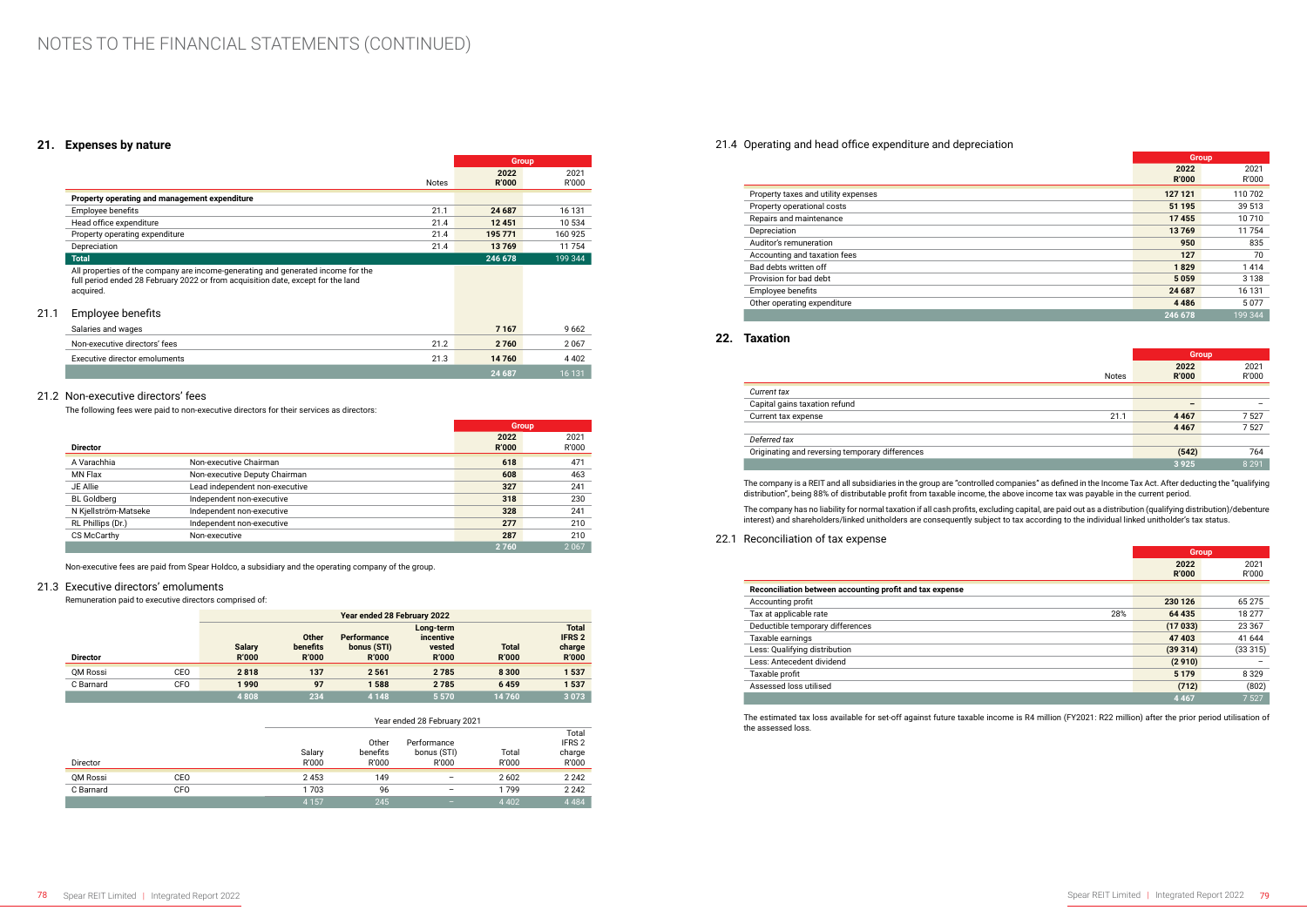### **21. Expenses by nature**

|              | <b>Group</b>         |               |
|--------------|----------------------|---------------|
| <b>Notes</b> | 2022<br><b>R'000</b> | 2021<br>R'000 |
|              |                      |               |
| 21.1         | 24 687               | 16 131        |
| 21.4         | 12451                | 10 534        |
| 21.4         | 195 771              | 160 925       |
| 21.4         | 13769                | 11 754        |
|              | 246 678              | 199 344       |
|              |                      |               |
|              |                      |               |

### 21.1 Employee benefits

| Salaries and wages            |      | 7 1 6 7 | 9662    |
|-------------------------------|------|---------|---------|
| Non-executive directors' fees | 21.2 | 2 7 6 0 | 2067    |
| Executive director emoluments | 21.3 | 14760   | 4 4 0 2 |
|                               |      | 24 687  | 16 131  |

### 21.2 Non-executive directors' fees

The following fees were paid to non-executive directors for their services as directors:

|                      |                                | <b>Group</b>         |               |
|----------------------|--------------------------------|----------------------|---------------|
| <b>Director</b>      |                                | 2022<br><b>R'000</b> | 2021<br>R'000 |
| A Varachhia          | Non-executive Chairman         | 618                  | 471           |
| MN Flax              | Non-executive Deputy Chairman  | 608                  | 463           |
| JE Allie             | Lead independent non-executive | 327                  | 241           |
| <b>BL</b> Goldberg   | Independent non-executive      | 318                  | 230           |
| N Kjellström-Matseke | Independent non-executive      | 328                  | 241           |
| RL Phillips (Dr.)    | Independent non-executive      | 277                  | 210           |
| CS McCarthy          | Non-executive                  | 287                  | 210           |
|                      |                                | 2760                 | 2067          |

Non-executive fees are paid from Spear Holdco, a subsidiary and the operating company of the group.

### 21.3 Executive directors' emoluments

Remuneration paid to executive directors comprised of:

|                 |     | Year ended 28 February 2022   |                                          |                                                   |                                                  |                              |                                                         |
|-----------------|-----|-------------------------------|------------------------------------------|---------------------------------------------------|--------------------------------------------------|------------------------------|---------------------------------------------------------|
| <b>Director</b> |     | <b>Salary</b><br><b>R'000</b> | <b>Other</b><br>benefits<br><b>R'000</b> | <b>Performance</b><br>bonus (STI)<br><b>R'000</b> | Long-term<br>incentive<br>vested<br><b>R'000</b> | <b>Total</b><br><b>R'000</b> | <b>Total</b><br><b>IFRS 2</b><br>charge<br><b>R'000</b> |
| QM Rossi        | CEO | 2818                          | 137                                      | 2561                                              | 2785                                             | 8 3 0 0                      | 1537                                                    |
| C Barnard       | CFO | 1990                          | 97                                       | 1588                                              | 2785                                             | 6459                         | 1537                                                    |
|                 |     | 4808                          | 234                                      | 4 1 4 8                                           | 5 5 7 0                                          | 14760                        | 3 0 7 3                                                 |

|           |            |                 | Year ended 28 February 2021 |                                     |                |                                               |
|-----------|------------|-----------------|-----------------------------|-------------------------------------|----------------|-----------------------------------------------|
| Director  |            | Salary<br>R'000 | Other<br>benefits<br>R'000  | Performance<br>bonus (STI)<br>R'000 | Total<br>R'000 | Total<br>IFRS <sub>2</sub><br>charge<br>R'000 |
| QM Rossi  | CEO        | 2453            | 149                         | -                                   | 2602           | 2 2 4 2                                       |
| C Barnard | <b>CFO</b> | 1703            | 96                          | -                                   | 1799           | 2 2 4 2                                       |
|           |            | 4 1 5 7         | 245                         | -                                   | 4 4 0 2        | 4 4 8 4                                       |

### 21.4 Operating and head office expenditure and depreciation

|                                     | <b>Group</b> |         |
|-------------------------------------|--------------|---------|
|                                     | 2022         | 2021    |
|                                     | <b>R'000</b> | R'000   |
| Property taxes and utility expenses | 127 121      | 110 702 |
| Property operational costs          | 51 195       | 39 513  |
| Repairs and maintenance             | 17455        | 10 710  |
| Depreciation                        | 13769        | 11754   |
| Auditor's remuneration              | 950          | 835     |
| Accounting and taxation fees        | 127          | 70      |
| Bad debts written off               | 1829         | 1414    |
| Provision for bad debt              | 5059         | 3 1 3 8 |
| Employee benefits                   | 24 687       | 16 131  |
| Other operating expenditure         | 4 4 8 6      | 5077    |
|                                     | 246 678      | 199 344 |

### **22. Taxation**

|                                                 |              | <b>Group</b>         |               |
|-------------------------------------------------|--------------|----------------------|---------------|
|                                                 | <b>Notes</b> | 2022<br><b>R'000</b> | 2021<br>R'000 |
| Current tax                                     |              |                      |               |
| Capital gains taxation refund                   |              |                      |               |
| Current tax expense                             | 21.1         | 4 4 6 7              | 7527          |
|                                                 |              | 4 4 6 7              | 7527          |
| Deferred tax                                    |              |                      |               |
| Originating and reversing temporary differences |              | (542)                | 764           |
|                                                 |              | 3 9 2 5              | 8 2 9 1       |

The company is a REIT and all subsidiaries in the group are "controlled companies" as defined in the Income Tax Act. After deducting the "qualifying distribution", being 88% of distributable profit from taxable income, the above income tax was payable in the current period.

The company has no liability for normal taxation if all cash profits, excluding capital, are paid out as a distribution (qualifying distribution)/debenture interest) and shareholders/linked unitholders are consequently subject to tax according to the individual linked unitholder's tax status.

22.1 Reconciliation of tax expense

|                                                          | <b>Group</b> |          |
|----------------------------------------------------------|--------------|----------|
|                                                          | 2022         | 2021     |
|                                                          | <b>R'000</b> | R'000    |
| Reconciliation between accounting profit and tax expense |              |          |
| Accounting profit                                        | 230 126      | 65 275   |
| Tax at applicable rate<br>28%                            | 64 435       | 18 277   |
| Deductible temporary differences                         | (17033)      | 23 3 6 7 |
| Taxable earnings                                         | 47 403       | 41 644   |
| Less: Qualifying distribution                            | (39314)      | (33315)  |
| Less: Antecedent dividend                                | (2910)       |          |
| Taxable profit                                           | 5 1 7 9      | 8 3 2 9  |
| Assessed loss utilised                                   | (712)        | (802)    |
|                                                          | 4 4 6 7      | 7 5 2 7  |

The estimated tax loss available for set-off against future taxable income is R4 million (FY2021: R22 million) after the prior period utilisation of the assessed loss.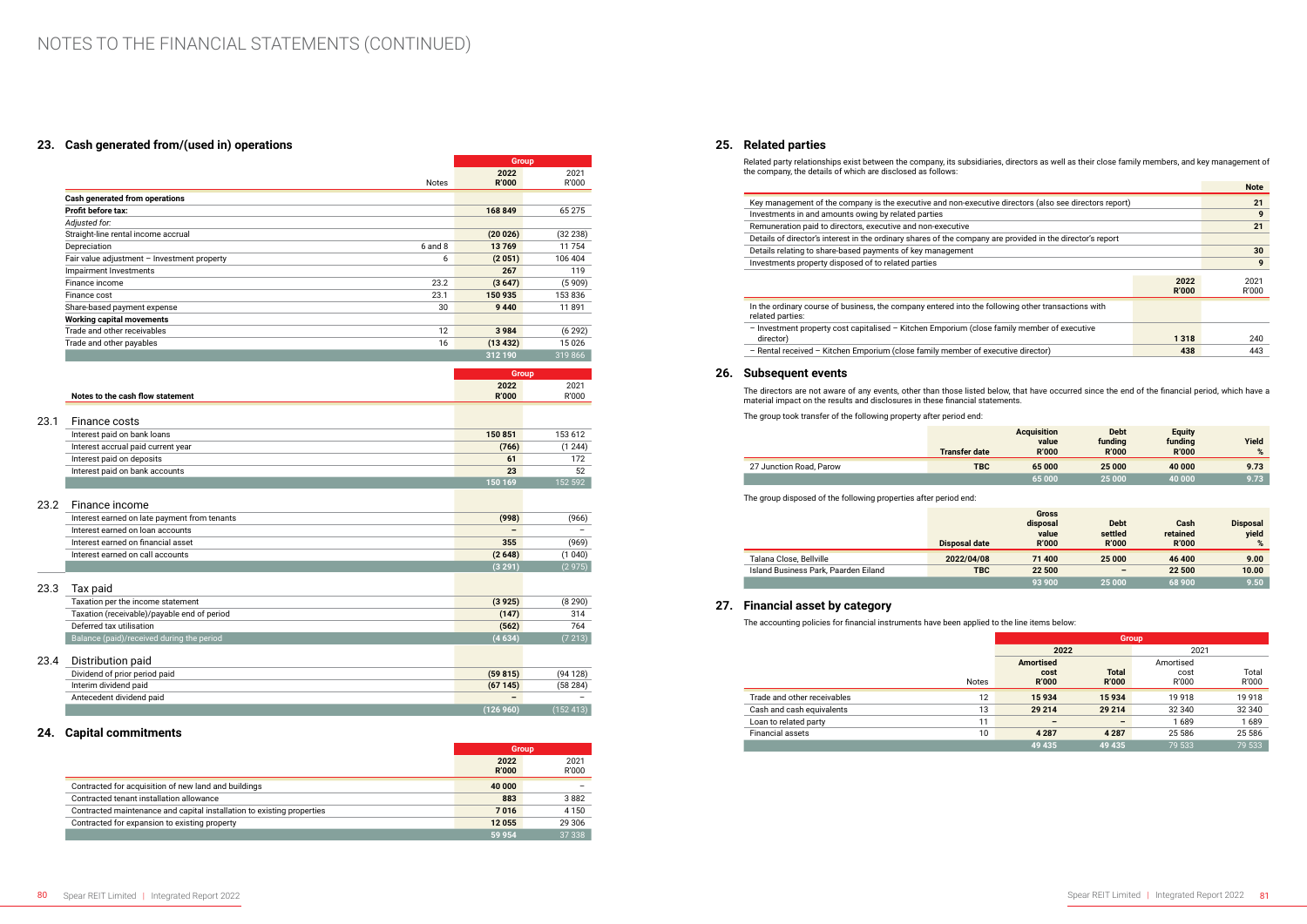## **23. Cash generated from/(used in) operations**

|                                              |             | <b>Group</b>         |               |
|----------------------------------------------|-------------|----------------------|---------------|
|                                              | Notes       | 2022<br><b>R'000</b> | 2021<br>R'000 |
| Cash generated from operations               |             |                      |               |
| Profit before tax:                           |             | 168 849              | 65 275        |
| Adiusted for:                                |             |                      |               |
| Straight-line rental income accrual          |             | (20026)              | (32 238)      |
| Depreciation                                 | $6$ and $8$ | 13769                | 11754         |
| Fair value adjustment - Investment property  | 6           | (2051)               | 106 404       |
| Impairment Investments                       |             | 267                  | 119           |
| Finance income                               | 23.2        | (3647)               | (5909)        |
| Finance cost                                 | 23.1        | 150 935              | 153836        |
| Share-based payment expense                  | 30          | 9 4 4 0              | 11891         |
| <b>Working capital movements</b>             |             |                      |               |
| Trade and other receivables                  | 12          | 3984                 | (6292)        |
| Trade and other payables                     | 16          | (13 432)             | 15026         |
|                                              |             | 312 190              | 319 866       |
|                                              |             | <b>Group</b>         |               |
| Notes to the cash flow statement             |             | 2022<br><b>R'000</b> | 2021<br>R'000 |
| 23.1<br>Finance costs                        |             |                      |               |
| Interest paid on bank loans                  |             | 150 851              | 153 612       |
| Interest accrual paid current year           |             | (766)                | (1244)        |
| Interest paid on deposits                    |             | 61                   | 172           |
| Interest paid on bank accounts               |             | 23                   | 52            |
|                                              |             | 150 169              | 152 592       |
| 23.2<br>Finance income                       |             |                      |               |
| Interest earned on late payment from tenants |             | (998)                | (966)         |
| Interest earned on loan accounts             |             |                      |               |
| Interest earned on financial asset           |             | 355                  | (969)         |
| Interest earned on call accounts             |             | (2648)               | (1040)        |
|                                              |             | (3 291)              | (2975)        |
| 23.3<br>Tax paid                             |             |                      |               |
| Taxation per the income statement            |             | (3925)               | (8 290)       |
| Taxation (receivable)/payable end of period  |             | (147)                | 314           |
| Deferred tax utilisation                     |             | (562)                | 764           |
| Balance (paid)/received during the period    |             | (4634)               | (7213)        |
| 23.4<br>Distribution paid                    |             |                      |               |
| Dividend of prior period paid                |             | (59815)              | (94128)       |
| Interim dividend paid                        |             | (67145)              | (58284)       |
| Antecedent dividend paid                     |             | $\overline{a}$       |               |
|                                              |             | (126960)             | (152413)      |

## **24. Capital commitments**

|                                                                        |              | <b>Group</b> |  |
|------------------------------------------------------------------------|--------------|--------------|--|
|                                                                        | 2022         | 2021         |  |
|                                                                        | <b>R'000</b> | R'000        |  |
| Contracted for acquisition of new land and buildings                   | 40 000       |              |  |
| Contracted tenant installation allowance                               | 883          | 3882         |  |
| Contracted maintenance and capital installation to existing properties | 7016         | 4 1 5 0      |  |
| Contracted for expansion to existing property                          | 12 055       | 29 306       |  |
|                                                                        | 59 954       | 37 338       |  |

### **25. Related parties**

Related party relationships exist between the company, its subsidiaries, directors as well as their close family members, and key management of the company, the details of which are disclosed as follows:

|                                                                                                                        |                      | <b>Note</b>   |  |  |  |
|------------------------------------------------------------------------------------------------------------------------|----------------------|---------------|--|--|--|
| Key management of the company is the executive and non-executive directors (also see directors report)                 |                      | 21            |  |  |  |
| Investments in and amounts owing by related parties                                                                    |                      | 9             |  |  |  |
| Remuneration paid to directors, executive and non-executive                                                            |                      | 21            |  |  |  |
| Details of director's interest in the ordinary shares of the company are provided in the director's report             |                      |               |  |  |  |
| Details relating to share-based payments of key management                                                             |                      |               |  |  |  |
| Investments property disposed of to related parties                                                                    |                      |               |  |  |  |
|                                                                                                                        | 2022<br><b>R'000</b> | 2021<br>R'000 |  |  |  |
| In the ordinary course of business, the company entered into the following other transactions with<br>related parties: |                      |               |  |  |  |
| - Investment property cost capitalised - Kitchen Emporium (close family member of executive<br>director)               | 1 3 1 8              | 240           |  |  |  |
| - Rental received - Kitchen Emporium (close family member of executive director)                                       | 438                  | 443           |  |  |  |

|                                                                                                                        |                      | <b>Note</b>   |
|------------------------------------------------------------------------------------------------------------------------|----------------------|---------------|
| Key management of the company is the executive and non-executive directors (also see directors report)                 |                      | 21            |
| Investments in and amounts owing by related parties                                                                    |                      | 9             |
| Remuneration paid to directors, executive and non-executive                                                            |                      | 21            |
| Details of director's interest in the ordinary shares of the company are provided in the director's report             |                      |               |
| Details relating to share-based payments of key management                                                             |                      | 30            |
| Investments property disposed of to related parties                                                                    |                      | 9             |
|                                                                                                                        | 2022<br><b>R'000</b> | 2021<br>R'000 |
| In the ordinary course of business, the company entered into the following other transactions with<br>related parties: |                      |               |
| - Investment property cost capitalised - Kitchen Emporium (close family member of executive<br>director)               | 1318                 | 240           |
| - Rental received - Kitchen Emporium (close family member of executive director)                                       | 438                  | 443           |

### **26. Subsequent events**

The directors are not aware of any events, other than those listed below, that have occurred since the end of the financial period, which have a material impact on the results and disclosures in these financial statements.

The group took transfer of the following property after period end:

|                         | <b>Transfer date</b> | <b>Acquisition</b><br>value<br><b>R'000</b> | <b>Debt</b><br>funding<br><b>R'000</b> | <b>Equity</b><br>funding<br><b>R'000</b> | Yield<br>% |
|-------------------------|----------------------|---------------------------------------------|----------------------------------------|------------------------------------------|------------|
| 27 Junction Road, Parow | <b>TBC</b>           | 65 000                                      | 25 000                                 | 40 000                                   | 9.73       |
|                         |                      | 65 000                                      | 25 000                                 | 40 000                                   | 9.73       |

The group disposed of the following properties after period end:

|                                      | Disposal date | <b>Gross</b><br>disposal<br>value<br><b>R'000</b> | <b>Debt</b><br>settled<br><b>R'000</b> | Cash<br>retained<br><b>R'000</b> | <b>Disposal</b><br>vield<br>% |
|--------------------------------------|---------------|---------------------------------------------------|----------------------------------------|----------------------------------|-------------------------------|
| Talana Close, Bellville              | 2022/04/08    | 71 400                                            | 25 000                                 | 46 400                           | 9.00                          |
| Island Business Park, Paarden Eiland | <b>TBC</b>    | 22 500                                            | $\overline{\phantom{0}}$               | 22 500                           | 10.00                         |
|                                      |               | 93 900                                            | 25 000                                 | 68 900                           | 9.50                          |

### **27. Financial asset by category**

The accounting policies for financial instruments have been applied to the line items below:

|                             |              | <b>Group</b>     |              |           |         |  |
|-----------------------------|--------------|------------------|--------------|-----------|---------|--|
|                             |              | 2022             |              | 2021      |         |  |
|                             |              | <b>Amortised</b> |              | Amortised |         |  |
|                             |              | cost             | <b>Total</b> | cost      | Total   |  |
|                             | <b>Notes</b> | <b>R'000</b>     | <b>R'000</b> | R'000     | R'000   |  |
| Trade and other receivables | 12           | 15934            | 15934        | 19 9 18   | 19918   |  |
| Cash and cash equivalents   | 13           | 29 214           | 29 214       | 32 340    | 32 340  |  |
| Loan to related party       | 11           |                  |              | 1689      | 1689    |  |
| Financial assets            | 10           | 4 2 8 7          | 4 2 8 7      | 25 5 86   | 25 5 86 |  |
|                             |              | 49 435           | 49 435       | 79 533    | 79 533  |  |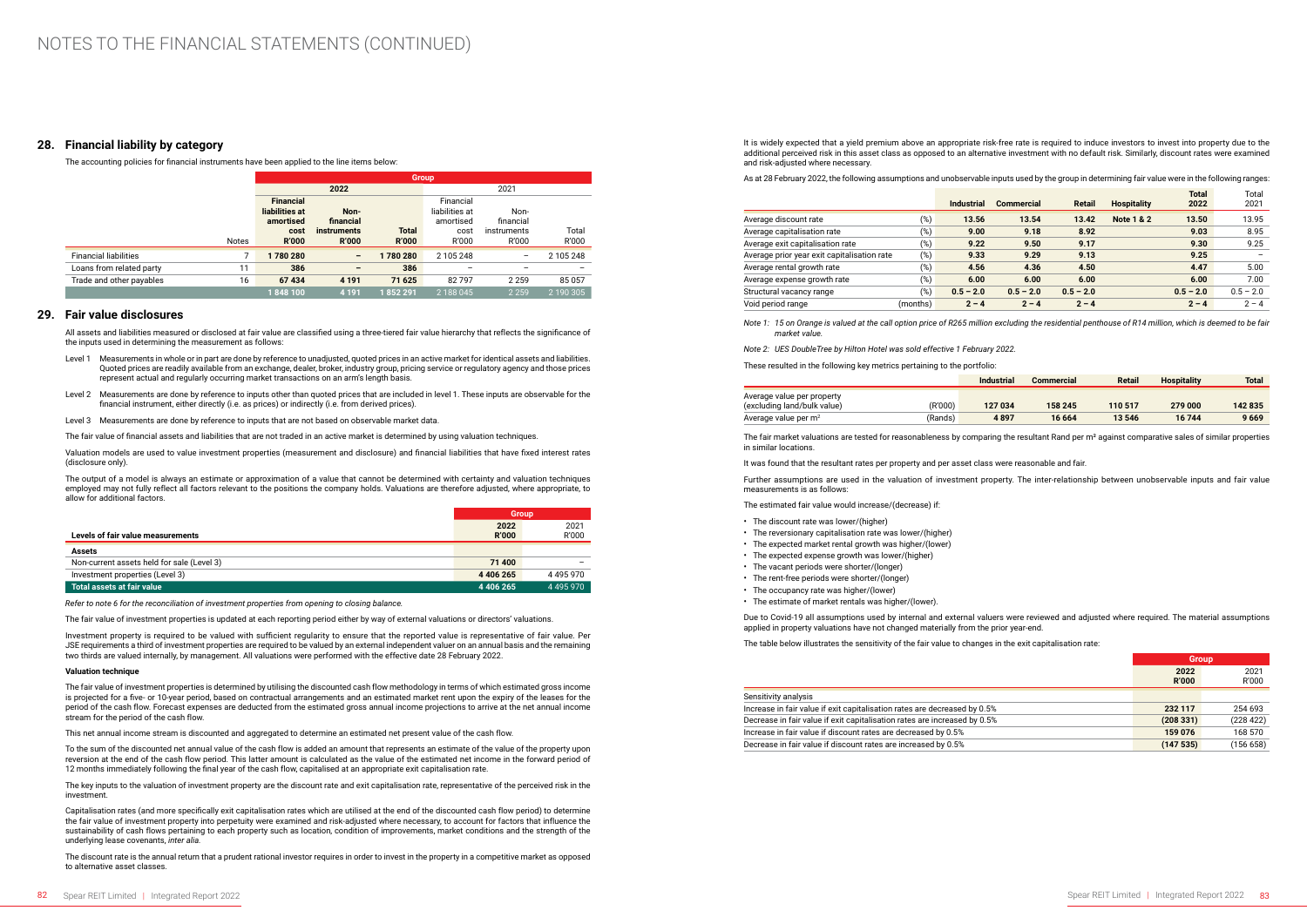### **28. Financial liability by category**

The accounting policies for financial instruments have been applied to the line items below:

|                              |              | <b>Group</b>                                    |                                    |                              |                                          |                      |                |  |  |
|------------------------------|--------------|-------------------------------------------------|------------------------------------|------------------------------|------------------------------------------|----------------------|----------------|--|--|
|                              |              |                                                 | 2022                               |                              | 2021                                     |                      |                |  |  |
|                              |              | <b>Financial</b><br>liabilities at<br>amortised | Non-<br>financial                  |                              | Financial<br>liabilities at<br>amortised | Non-<br>financial    |                |  |  |
|                              | <b>Notes</b> | cost<br><b>R'000</b>                            | <b>instruments</b><br><b>R'000</b> | <b>Total</b><br><b>R'000</b> | cost<br>R'000                            | instruments<br>R'000 | Total<br>R'000 |  |  |
| <b>Financial liabilities</b> |              | 1780280                                         | -                                  | 1780280                      | 2 105 248                                |                      | 2 105 248      |  |  |
| Loans from related party     | 11           | 386                                             | -                                  | 386                          |                                          |                      |                |  |  |
| Trade and other payables     | 16           | 67434                                           | 4 1 9 1                            | 71 625                       | 82797                                    | 2 2 5 9              | 85057          |  |  |
|                              |              | 1848100                                         | 4 1 9 1                            | 852 291                      | 2 188 045                                | 2 2 5 9              | 12190305'      |  |  |

### **29. Fair value disclosures**

All assets and liabilities measured or disclosed at fair value are classified using a three-tiered fair value hierarchy that reflects the significance of the inputs used in determining the measurement as follows:

- Level 1 Measurements in whole or in part are done by reference to unadjusted, quoted prices in an active market for identical assets and liabilities. Quoted prices are readily available from an exchange, dealer, broker, industry group, pricing service or regulatory agency and those prices represent actual and regularly occurring market transactions on an arm's length basis.
- Level 2 Measurements are done by reference to inputs other than quoted prices that are included in level 1. These inputs are observable for the financial instrument, either directly (i.e. as prices) or indirectly (i.e. from derived prices).

Level 3 Measurements are done by reference to inputs that are not based on observable market data.

The fair value of financial assets and liabilities that are not traded in an active market is determined by using valuation techniques.

Valuation models are used to value investment properties (measurement and disclosure) and financial liabilities that have fixed interest rates (disclosure only).

The output of a model is always an estimate or approximation of a value that cannot be determined with certainty and valuation techniques employed may not fully reflect all factors relevant to the positions the company holds. Valuations are therefore adjusted, where appropriate, to allow for additional factors.

The key inputs to the valuation of investment property are the discount rate and exit capitalisation rate, representative of the perceived risk in the investment.

|                                            | <b>Group</b>  |               |
|--------------------------------------------|---------------|---------------|
|                                            | 2022          | 2021          |
| Levels of fair value measurements          | <b>R'000</b>  | R'000         |
| <b>Assets</b>                              |               |               |
| Non-current assets held for sale (Level 3) | 71 400        |               |
| Investment properties (Level 3)            | 4 4 0 6 2 6 5 | 4495970       |
| Total assets at fair value                 | 4 4 0 6 2 6 5 | 4 4 9 5 9 7 0 |

*Refer to note 6 for the reconciliation of investment properties from opening to closing balance.*

The fair value of investment properties is updated at each reporting period either by way of external valuations or directors' valuations.

Investment property is required to be valued with sufficient regularity to ensure that the reported value is representative of fair value. Per JSE requirements a third of investment properties are required to be valued by an external independent valuer on an annual basis and the remaining two thirds are valued internally, by management. All valuations were performed with the effective date 28 February 2022.

#### **Valuation technique**

The fair market valuations are tested for reasonableness by comparing the resultant Rand per m<sup>2</sup> against comparative sales of similar properties in similar locations.

The fair value of investment properties is determined by utilising the discounted cash flow methodology in terms of which estimated gross income is projected for a five- or 10-year period, based on contractual arrangements and an estimated market rent upon the expiry of the leases for the period of the cash flow. Forecast expenses are deducted from the estimated gross annual income projections to arrive at the net annual income stream for the period of the cash flow.

This net annual income stream is discounted and aggregated to determine an estimated net present value of the cash flow.

To the sum of the discounted net annual value of the cash flow is added an amount that represents an estimate of the value of the property upon reversion at the end of the cash flow period. This latter amount is calculated as the value of the estimated net income in the forward period of 12 months immediately following the final year of the cash flow, capitalised at an appropriate exit capitalisation rate.

Capitalisation rates (and more specifically exit capitalisation rates which are utilised at the end of the discounted cash flow period) to determine the fair value of investment property into perpetuity were examined and risk-adjusted where necessary, to account for factors that influence the sustainability of cash flows pertaining to each property such as location, condition of improvements, market conditions and the strength of the underlying lease covenants, *inter alia.*

The discount rate is the annual return that a prudent rational investor requires in order to invest in the property in a competitive market as opposed to alternative asset classes.

It is widely expected that a yield premium above an appropriate risk-free rate is required to induce investors to invest into property due to the additional perceived risk in this asset class as opposed to an alternative investment with no default risk. Similarly, discount rates were examined and risk-adjusted where necessary.

As at 28 February 2022, the following assumptions and unobservable inputs used by the group in determining fair value were in the following ranges:

|                                             |          | <b>Industrial</b> | <b>Commercial</b> | <b>Retail</b> | <b>Hospitality</b>    | <b>Total</b><br>2022 | Total<br>2021 |
|---------------------------------------------|----------|-------------------|-------------------|---------------|-----------------------|----------------------|---------------|
| Average discount rate                       | (%)      | 13.56             | 13.54             | 13.42         | <b>Note 1 &amp; 2</b> | 13.50                | 13.95         |
| Average capitalisation rate                 | (% )     | 9.00              | 9.18              | 8.92          |                       | 9.03                 | 8.95          |
| Average exit capitalisation rate            | (%)      | 9.22              | 9.50              | 9.17          |                       | 9.30                 | 9.25          |
| Average prior year exit capitalisation rate | (% )     | 9.33              | 9.29              | 9.13          |                       | 9.25                 |               |
| Average rental growth rate                  | (% )     | 4.56              | 4.36              | 4.50          |                       | 4.47                 | 5.00          |
| Average expense growth rate                 | (9)      | 6.00              | 6.00              | 6.00          |                       | 6.00                 | 7.00          |
| Structural vacancy range                    | (%)      | $0.5 - 2.0$       | $0.5 - 2.0$       | $0.5 - 2.0$   |                       | $0.5 - 2.0$          | $0.5 - 2.0$   |
| Void period range                           | (months) | $2 - 4$           | $2 - 4$           | $2 - 4$       |                       | $2 - 4$              | $2 - 4$       |

*Note 1: 15 on Orange is valued at the call option price of R265 million excluding the residential penthouse of R14 million, which is deemed to be fair market value.*

*Note 2: UES DoubleTree by Hilton Hotel was sold effective 1 February 2022.*

These resulted in the following key metrics pertaining to the portfolio:

|                                                           |  |         | <b>Industrial</b> | <b>Commercial</b> | <b>Retail</b> | <b>Hospitality</b> | <b>Total</b> |
|-----------------------------------------------------------|--|---------|-------------------|-------------------|---------------|--------------------|--------------|
| Average value per property<br>(excluding land/bulk value) |  | (R'000) | 127 034           | 158 245           | 110 517       | 279 000            | 142835       |
| Average value per m <sup>2</sup>                          |  | (Rands) | 4897              | 16 664            | 13 546        | 16744              | 9669         |

It was found that the resultant rates per property and per asset class were reasonable and fair.

Further assumptions are used in the valuation of investment property. The inter-relationship between unobservable inputs and fair value measurements is as follows:

The estimated fair value would increase/(decrease) if:

- The discount rate was lower/(higher)
- The reversionary capitalisation rate was lower/(higher)
- The expected market rental growth was higher/(lower)
- The expected expense growth was lower/(higher)
- The vacant periods were shorter/(longer)
- The rent-free periods were shorter/(longer)
- The occupancy rate was higher/(lower)
- The estimate of market rentals was higher/(lower).

Due to Covid-19 all assumptions used by internal and external valuers were reviewed and adjusted where required. The material assumptions applied in property valuations have not changed materially from the prior year-end.

The table below illustrates the sensitivity of the fair value to changes in the exit capitalisation rate:

|    | <b>Group</b> |           |
|----|--------------|-----------|
|    | 2022         | 2021      |
|    | <b>R'000</b> | R'000     |
|    |              |           |
| 5% | 232 117      | 254 693   |
| 5% | (208331)     | (228 422) |
|    | 159 076      | 168 570   |
|    | (147535)     | (156658)  |

#### Sensitivity analysis

Increase in fair value if exit capitalisation rates are decreased by 0. Decrease in fair value if exit capitalisation rates are increased by 0. Increase in fair value if discount rates are decreased by 0.5% Decrease in fair value if discount rates are increased by 0.5%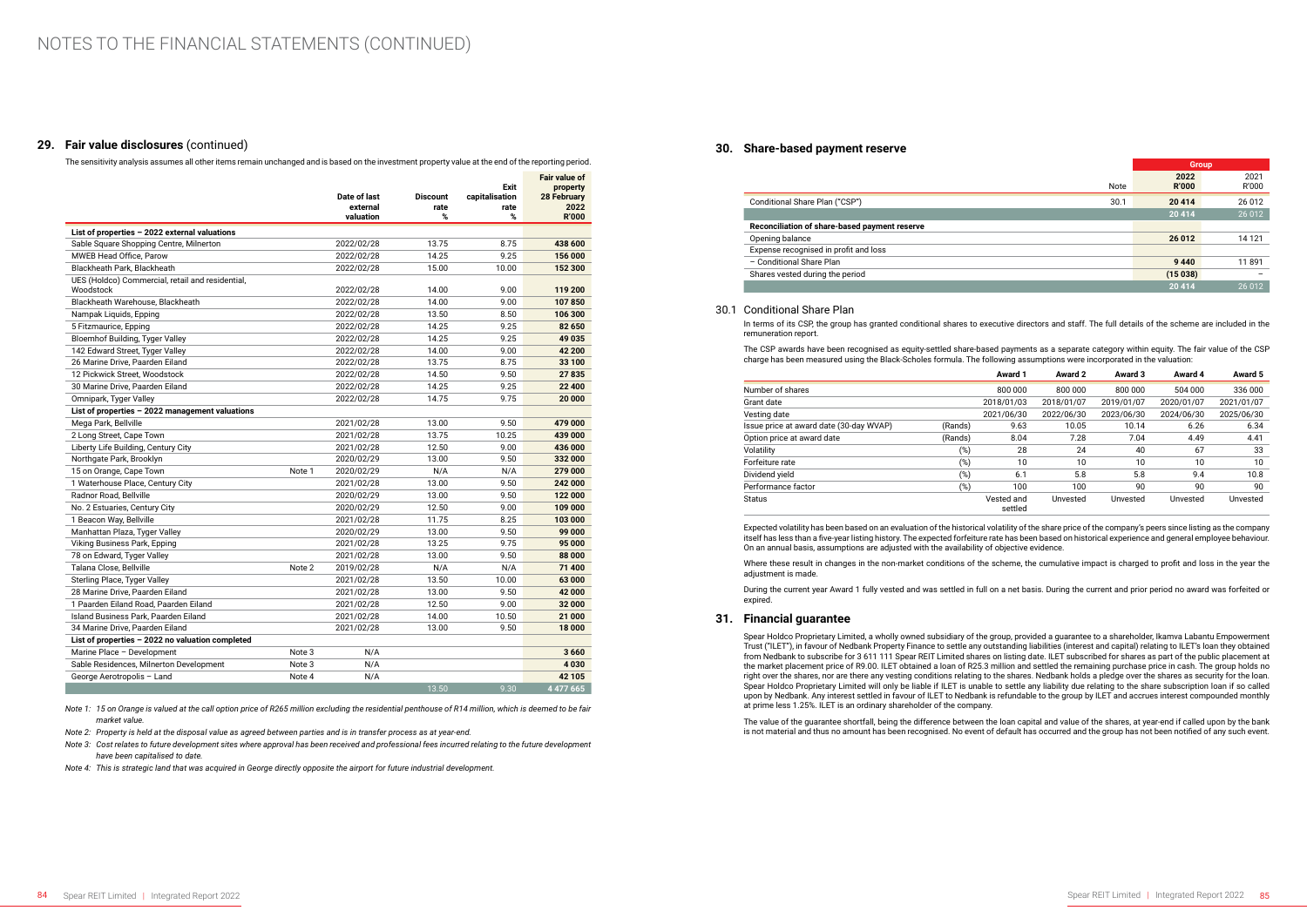### **29. Fair value disclosures** (continued)

The sensitivity analysis assumes all other items remain unchanged and is based on the investment property value at the end of the reporting period.

|                                                               |        | Date of last<br>external<br>valuation | <b>Discount</b><br>rate<br>% | Exit<br>capitalisation<br>rate<br>% | <b>Fair value of</b><br>property<br><b>28 February</b><br>2022<br><b>R'000</b> |
|---------------------------------------------------------------|--------|---------------------------------------|------------------------------|-------------------------------------|--------------------------------------------------------------------------------|
| List of properties - 2022 external valuations                 |        |                                       |                              |                                     |                                                                                |
| Sable Square Shopping Centre, Milnerton                       |        | 2022/02/28                            | 13.75                        | 8.75                                | 438 600                                                                        |
| <b>MWEB Head Office, Parow</b>                                |        | 2022/02/28                            | 14.25                        | 9.25                                | 156 000                                                                        |
| Blackheath Park, Blackheath                                   |        | 2022/02/28                            | 15.00                        | 10.00                               | 152 300                                                                        |
| UES (Holdco) Commercial, retail and residential.<br>Woodstock |        | 2022/02/28                            | 14.00                        | 9.00                                | 119 200                                                                        |
| Blackheath Warehouse, Blackheath                              |        | 2022/02/28                            | 14.00                        | 9.00                                | 107850                                                                         |
| Nampak Liquids, Epping                                        |        | 2022/02/28                            | 13.50                        | 8.50                                | 106 300                                                                        |
| 5 Fitzmaurice, Epping                                         |        | 2022/02/28                            | 14.25                        | 9.25                                | 82 650                                                                         |
| Bloemhof Building, Tyger Valley                               |        | 2022/02/28                            | 14.25                        | 9.25                                | 49 035                                                                         |
| 142 Edward Street, Tyger Valley                               |        | 2022/02/28                            | 14.00                        | 9.00                                | 42 200                                                                         |
| 26 Marine Drive, Paarden Eiland                               |        | 2022/02/28                            | 13.75                        | 8.75                                | 33 100                                                                         |
| 12 Pickwick Street, Woodstock                                 |        | 2022/02/28                            | 14.50                        | 9.50                                | 27835                                                                          |
| 30 Marine Drive, Paarden Eiland                               |        | 2022/02/28                            | 14.25                        | 9.25                                | 22 400                                                                         |
| Omnipark, Tyger Valley                                        |        | 2022/02/28                            | 14.75                        | 9.75                                | 20 000                                                                         |
| List of properties - 2022 management valuations               |        |                                       |                              |                                     |                                                                                |
| Mega Park, Bellville                                          |        | 2021/02/28                            | 13.00                        | 9.50                                | 479 000                                                                        |
| 2 Long Street, Cape Town                                      |        | 2021/02/28                            | 13.75                        | 10.25                               | 439 000                                                                        |
| Liberty Life Building, Century City                           |        | 2021/02/28                            | 12.50                        | 9.00                                | 436 000                                                                        |
| Northgate Park, Brooklyn                                      |        | 2020/02/29                            | 13.00                        | 9.50                                | 332 000                                                                        |
| 15 on Orange, Cape Town                                       | Note 1 | 2020/02/29                            | N/A                          | N/A                                 | 279 000                                                                        |
| 1 Waterhouse Place, Century City                              |        | 2021/02/28                            | 13.00                        | 9.50                                | 242 000                                                                        |
| Radnor Road, Bellville                                        |        | 2020/02/29                            | 13.00                        | 9.50                                | 122 000                                                                        |
| No. 2 Estuaries, Century City                                 |        | 2020/02/29                            | 12.50                        | 9.00                                | 109 000                                                                        |
| 1 Beacon Way, Bellville                                       |        | 2021/02/28                            | 11.75                        | 8.25                                | 103 000                                                                        |
| Manhattan Plaza, Tyger Valley                                 |        | 2020/02/29                            | 13.00                        | 9.50                                | 99 000                                                                         |
| Viking Business Park, Epping                                  |        | 2021/02/28                            | 13.25                        | 9.75                                | 95 000                                                                         |
| 78 on Edward, Tyger Valley                                    |        | 2021/02/28                            | 13.00                        | 9.50                                | 88 000                                                                         |
| Talana Close, Bellville                                       | Note 2 | 2019/02/28                            | N/A                          | N/A                                 | 71 400                                                                         |
| Sterling Place, Tyger Valley                                  |        | 2021/02/28                            | 13.50                        | 10.00                               | 63 000                                                                         |
| 28 Marine Drive, Paarden Eiland                               |        | 2021/02/28                            | 13.00                        | 9.50                                | 42 000                                                                         |
| 1 Paarden Eiland Road, Paarden Eiland                         |        | 2021/02/28                            | 12.50                        | 9.00                                | 32 000                                                                         |
| Island Business Park, Paarden Eiland                          |        | 2021/02/28                            | 14.00                        | 10.50                               | 21 000                                                                         |
| 34 Marine Drive, Paarden Eiland                               |        | 2021/02/28                            | 13.00                        | 9.50                                | 18 000                                                                         |
| List of properties - 2022 no valuation completed              |        |                                       |                              |                                     |                                                                                |
| Marine Place - Development                                    | Note 3 | N/A                                   |                              |                                     | 3660                                                                           |
| Sable Residences, Milnerton Development                       | Note 3 | N/A                                   |                              |                                     | 4030                                                                           |
| George Aerotropolis - Land                                    | Note 4 | N/A                                   |                              |                                     | 42 105                                                                         |
|                                                               |        |                                       | 13.50                        | 9.30                                | 4 477 665                                                                      |

*Note 1: 15 on Orange is valued at the call option price of R265 million excluding the residential penthouse of R14 million, which is deemed to be fair market value.*

*Note 2: Property is held at the disposal value as agreed between parties and is in transfer process as at year-end.*

*Note 3: Cost relates to future development sites where approval has been received and professional fees incurred relating to the future development have been capitalised to date.*

*Note 4: This is strategic land that was acquired in George directly opposite the airport for future industrial development.*

### **30. Share-based payment reserve**

|                                               |      | <b>Group</b>         |               |
|-----------------------------------------------|------|----------------------|---------------|
|                                               | Note | 2022<br><b>R'000</b> | 2021<br>R'000 |
| Conditional Share Plan ("CSP")                | 30.1 | 20 4 14              | 26 012        |
|                                               |      | 20 4 14              | 26 0 12       |
| Reconciliation of share-based payment reserve |      |                      |               |
| Opening balance                               |      | 26 012               | 14 121        |
| Expense recognised in profit and loss         |      |                      |               |
| - Conditional Share Plan                      |      | 9440                 | 11891         |
| Shares vested during the period               |      | (15038)              |               |
|                                               |      | 20 4 14              | 26 012        |

### 30.1 Conditional Share Plan

In terms of its CSP, the group has granted conditional shares to executive directors and staff. The full details of the scheme are included in the remuneration report.

The CSP awards have been recognised as equity-settled share-based payments as a separate category within equity. The fair value of the CSP charge has been measured using the Black-Scholes formula. The following assumptions were incorporated in the valuation:

|                                         |         | <b>Award 1</b>        | Award 2    | Award 3    | Award 4    | Award 5    |
|-----------------------------------------|---------|-----------------------|------------|------------|------------|------------|
| Number of shares                        |         | 800 000               | 800 000    | 800 000    | 504 000    | 336 000    |
| Grant date                              |         | 2018/01/03            | 2018/01/07 | 2019/01/07 | 2020/01/07 | 2021/01/07 |
| Vesting date                            |         | 2021/06/30            | 2022/06/30 | 2023/06/30 | 2024/06/30 | 2025/06/30 |
| Issue price at award date (30-day WVAP) | (Rands) | 9.63                  | 10.05      | 10.14      | 6.26       | 6.34       |
| Option price at award date              | (Rands) | 8.04                  | 7.28       | 7.04       | 4.49       | 4.41       |
| Volatility                              | (%)     | 28                    | 24         | 40         | 67         | 33         |
| Forfeiture rate                         | (%)     | 10                    | 10         | 10         | 10         | 10         |
| Dividend yield                          | (%)     | 6.1                   | 5.8        | 5.8        | 9.4        | 10.8       |
| Performance factor                      | $(\%)$  | 100                   | 100        | 90         | 90         | 90         |
| <b>Status</b>                           |         | Vested and<br>settled | Unvested   | Unvested   | Unvested   | Unvested   |

Expected volatility has been based on an evaluation of the historical volatility of the share price of the company's peers since listing as the company itself has less than a five-year listing history. The expected forfeiture rate has been based on historical experience and general employee behaviour. On an annual basis, assumptions are adjusted with the availability of objective evidence.

Where these result in changes in the non-market conditions of the scheme, the cumulative impact is charged to profit and loss in the year the adjustment is made.

During the current year Award 1 fully vested and was settled in full on a net basis. During the current and prior period no award was forfeited or expired.

### **31. Financial guarantee**

Spear Holdco Proprietary Limited, a wholly owned subsidiary of the group, provided a guarantee to a shareholder, Ikamva Labantu Empowerment Trust ("ILET"), in favour of Nedbank Property Finance to settle any outstanding liabilities (interest and capital) relating to ILET's loan they obtained from Nedbank to subscribe for 3 611 111 Spear REIT Limited shares on listing date. ILET subscribed for shares as part of the public placement at the market placement price of R9.00. ILET obtained a loan of R25.3 million and settled the remaining purchase price in cash. The group holds no right over the shares, nor are there any vesting conditions relating to the shares. Nedbank holds a pledge over the shares as security for the loan. Spear Holdco Proprietary Limited will only be liable if ILET is unable to settle any liability due relating to the share subscription loan if so called upon by Nedbank. Any interest settled in favour of ILET to Nedbank is refundable to the group by ILET and accrues interest compounded monthly at prime less 1.25%. ILET is an ordinary shareholder of the company.

The value of the guarantee shortfall, being the difference between the loan capital and value of the shares, at year-end if called upon by the bank is not material and thus no amount has been recognised. No event of default has occurred and the group has not been notified of any such event.